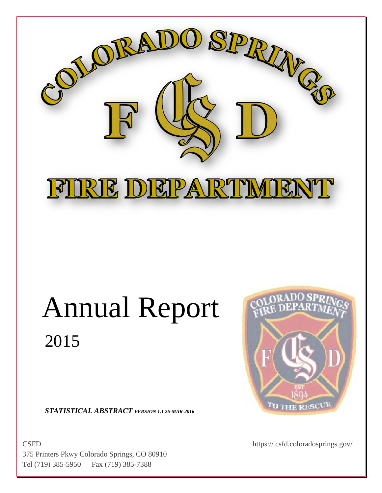

# Annual Report 2015

*STATISTICAL ABSTRACT VERSION 1.1 26-MAR-2016*

CSFD https:// csfd.coloradosprings.gov/ 375 Printers Pkwy Colorado Springs, CO 80910 Tel (719) 385-5950 Fax (719) 385-7388

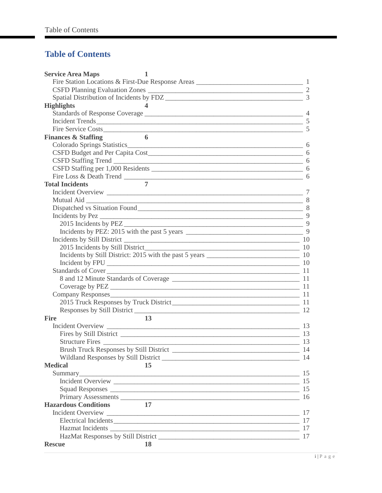### **Table of Contents**

| <b>Service Area Maps</b><br>1                                                                                                                                                                                                 |  |
|-------------------------------------------------------------------------------------------------------------------------------------------------------------------------------------------------------------------------------|--|
|                                                                                                                                                                                                                               |  |
|                                                                                                                                                                                                                               |  |
|                                                                                                                                                                                                                               |  |
| <b>Highlights</b>                                                                                                                                                                                                             |  |
|                                                                                                                                                                                                                               |  |
|                                                                                                                                                                                                                               |  |
| Fire Service Costs 5                                                                                                                                                                                                          |  |
| 6<br><b>Finances &amp; Staffing</b>                                                                                                                                                                                           |  |
|                                                                                                                                                                                                                               |  |
|                                                                                                                                                                                                                               |  |
|                                                                                                                                                                                                                               |  |
| CSFD Staffing Trend<br>CSFD Staffing per 1,000 Residents<br>6                                                                                                                                                                 |  |
|                                                                                                                                                                                                                               |  |
| $\overline{7}$<br><b>Total Incidents</b>                                                                                                                                                                                      |  |
|                                                                                                                                                                                                                               |  |
|                                                                                                                                                                                                                               |  |
|                                                                                                                                                                                                                               |  |
| Incidents by Pez $\frac{9}{2}$                                                                                                                                                                                                |  |
|                                                                                                                                                                                                                               |  |
|                                                                                                                                                                                                                               |  |
| Incidents by Still District 2000 and 2000 and 2000 and 2000 and 2000 and 2000 and 2000 and 2000 and 2000 and 2000 and 2000 and 2000 and 2000 and 2000 and 2000 and 2000 and 2000 and 2000 and 2000 and 2000 and 2000 and 2000 |  |
|                                                                                                                                                                                                                               |  |
|                                                                                                                                                                                                                               |  |
|                                                                                                                                                                                                                               |  |
| Standards of Cover 11                                                                                                                                                                                                         |  |
|                                                                                                                                                                                                                               |  |
|                                                                                                                                                                                                                               |  |
| Company Responses                                                                                                                                                                                                             |  |
|                                                                                                                                                                                                                               |  |
|                                                                                                                                                                                                                               |  |
| <b>Fire</b><br>13                                                                                                                                                                                                             |  |
|                                                                                                                                                                                                                               |  |
|                                                                                                                                                                                                                               |  |
|                                                                                                                                                                                                                               |  |
|                                                                                                                                                                                                                               |  |
|                                                                                                                                                                                                                               |  |
| <b>Medical</b><br>15                                                                                                                                                                                                          |  |
|                                                                                                                                                                                                                               |  |
|                                                                                                                                                                                                                               |  |
|                                                                                                                                                                                                                               |  |
| Primary Assessments 16                                                                                                                                                                                                        |  |
| <b>Hazardous Conditions</b><br>17                                                                                                                                                                                             |  |
|                                                                                                                                                                                                                               |  |
| Electrical Incidents 17                                                                                                                                                                                                       |  |
|                                                                                                                                                                                                                               |  |
|                                                                                                                                                                                                                               |  |
| <b>Rescue</b><br>18                                                                                                                                                                                                           |  |
|                                                                                                                                                                                                                               |  |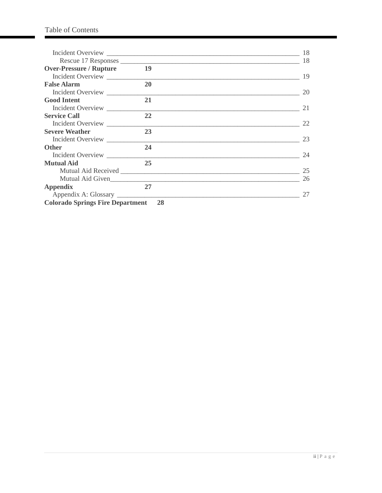|                                         |                  | 18 |
|-----------------------------------------|------------------|----|
|                                         |                  | 18 |
| <b>Over-Pressure / Rupture</b>          | 19               |    |
| Incident Overview                       |                  | 19 |
| <b>False Alarm</b>                      | 20               |    |
| Incident Overview                       |                  | 20 |
| <b>Good Intent</b>                      | 21               |    |
| Incident Overview                       |                  | 21 |
| <b>Service Call</b>                     | 22               |    |
| Incident Overview                       |                  | 22 |
| <b>Severe Weather</b>                   | 23               |    |
| Incident Overview                       |                  | 23 |
| <b>Other</b>                            | 24               |    |
| Incident Overview                       |                  | 24 |
| <b>Mutual Aid</b>                       | 25               |    |
|                                         |                  | 25 |
|                                         | Mutual Aid Given | 26 |
| <b>Appendix</b>                         | 27               |    |
|                                         |                  | 27 |
| <b>Colorado Springs Fire Department</b> | 28               |    |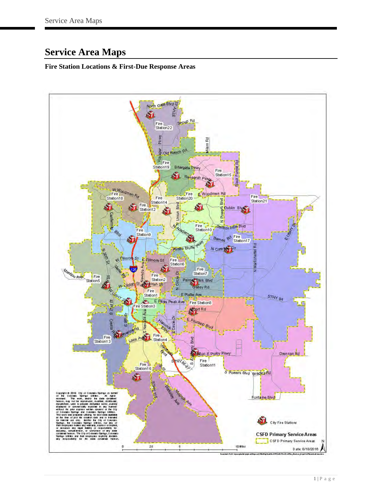# <span id="page-3-0"></span>**Service Area Maps**

### <span id="page-3-1"></span>**Fire Station Locations & First-Due Response Areas**

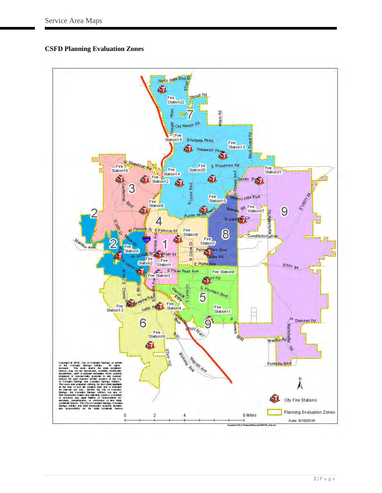#### <span id="page-4-0"></span>**CSFD Planning Evaluation Zones**

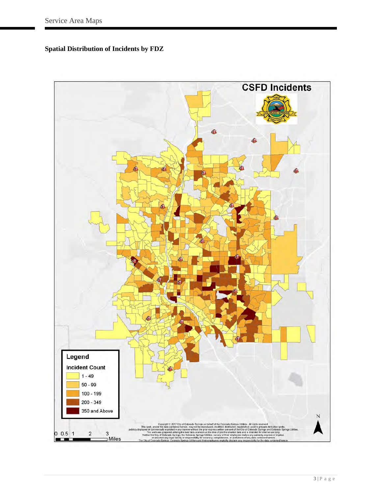<span id="page-5-0"></span>**Spatial Distribution of Incidents by FDZ**

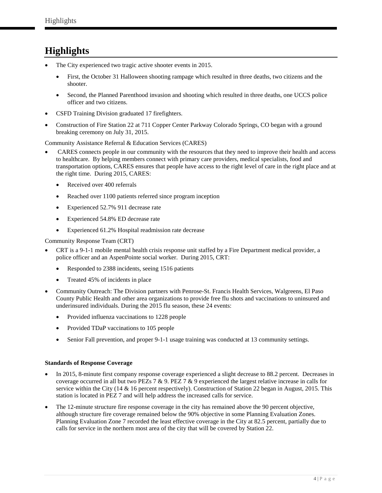# <span id="page-6-0"></span>**Highlights**

- The City experienced two tragic active shooter events in 2015.
	- First, the October 31 Halloween shooting rampage which resulted in three deaths, two citizens and the shooter.
	- Second, the Planned Parenthood invasion and shooting which resulted in three deaths, one UCCS police officer and two citizens.
- CSFD Training Division graduated 17 firefighters.
- Construction of Fire Station 22 at 711 Copper Center Parkway Colorado Springs, CO began with a ground breaking ceremony on July 31, 2015.

Community Assistance Referral & Education Services (CARES)

- CARES connects people in our community with the resources that they need to improve their health and access to healthcare. By helping members connect with primary care providers, medical specialists, food and transportation options, CARES ensures that people have access to the right level of care in the right place and at the right time. During 2015, CARES:
	- Received over 400 referrals
	- Reached over 1100 patients referred since program inception
	- Experienced 52.7% 911 decrease rate
	- Experienced 54.8% ED decrease rate
	- Experienced 61.2% Hospital readmission rate decrease

Community Response Team (CRT)

- CRT is a 9-1-1 mobile mental health crisis response unit staffed by a Fire Department medical provider, a police officer and an AspenPointe social worker. During 2015, CRT:
	- Responded to 2388 incidents, seeing 1516 patients
	- Treated 45% of incidents in place
- Community Outreach: The Division partners with Penrose-St. Francis Health Services, Walgreens, El Paso County Public Health and other area organizations to provide free flu shots and vaccinations to uninsured and underinsured individuals. During the 2015 flu season, these 24 events:
	- Provided influenza vaccinations to 1228 people
	- Provided TDaP vaccinations to 105 people
	- Senior Fall prevention, and proper 9-1-1 usage training was conducted at 13 community settings.

#### <span id="page-6-1"></span>**Standards of Response Coverage**

- In 2015, 8-minute first company response coverage experienced a slight decrease to 88.2 percent. Decreases in coverage occurred in all but two PEZs 7 & 9. PEZ 7 & 9 experienced the largest relative increase in calls for service within the City (14 & 16 percent respectively). Construction of Station 22 began in August, 2015. This station is located in PEZ 7 and will help address the increased calls for service.
- The 12-minute structure fire response coverage in the city has remained above the 90 percent objective, although structure fire coverage remained below the 90% objective in some Planning Evaluation Zones. Planning Evaluation Zone 7 recorded the least effective coverage in the City at 82.5 percent, partially due to calls for service in the northern most area of the city that will be covered by Station 22.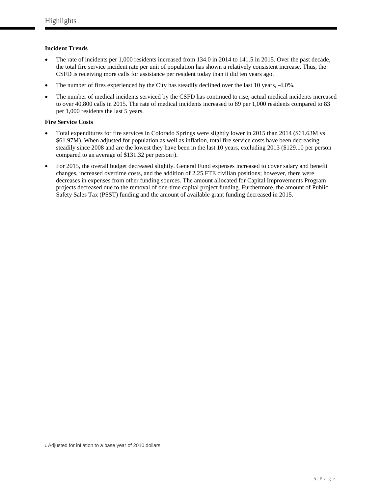#### <span id="page-7-0"></span>**Incident Trends**

- The rate of incidents per 1,000 residents increased from 134.0 in 2014 to 141.5 in 2015. Over the past decade, the total fire service incident rate per unit of population has shown a relatively consistent increase. Thus, the CSFD is receiving more calls for assistance per resident today than it did ten years ago.
- The number of fires experienced by the City has steadily declined over the last 10 years, -4.0%.
- The number of medical incidents serviced by the CSFD has continued to rise; actual medical incidents increased to over 40,800 calls in 2015. The rate of medical incidents increased to 89 per 1,000 residents compared to 83 per 1,000 residents the last 5 years.

#### <span id="page-7-1"></span>**Fire Service Costs**

- Total expenditures for fire services in Colorado Springs were slightly lower in 2015 than 2014 (\$61.63M vs \$61.97M). When adjusted for population as well as inflation, total fire service costs have been decreasing steadily since 2008 and are the lowest they have been in the last 10 years, excluding 2013 (\$129.10 per person compared to an average of \$131.32 per person[1](#page-7-2)).
- For 2015, the overall budget decreased slightly. General Fund expenses increased to cover salary and benefit changes, increased overtime costs, and the addition of 2.25 FTE civilian positions; however, there were decreases in expenses from other funding sources. The amount allocated for Capital Improvements Program projects decreased due to the removal of one-time capital project funding. Furthermore, the amount of Public Safety Sales Tax (PSST) funding and the amount of available grant funding decreased in 2015.

<span id="page-7-2"></span> $\overline{a}$ 1 Adjusted for inflation to a base year of 2010 dollars.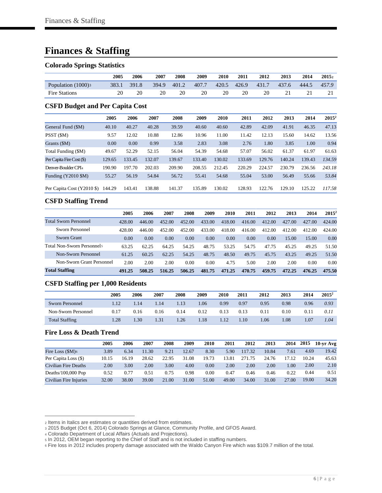# <span id="page-8-0"></span>**Finances & Staffing**

#### <span id="page-8-1"></span>**Colorado Springs Statistics**

<span id="page-8-2"></span>

|                                        | 2005   | 2006   | 2007   | 2008   | 2009   | 2010   | 2011   | 2012   | 2013   | 2014   | 20152    |
|----------------------------------------|--------|--------|--------|--------|--------|--------|--------|--------|--------|--------|----------|
| Population $(1000)$ <sub>3</sub>       | 383.1  | 391.8  | 394.9  | 401.2  | 407.7  | 420.5  | 426.9  | 431.7  | 437.6  | 444.5  | 457.9    |
| <b>Fire Stations</b>                   | 20     | 20     | 20     | 20     | 20     | 20     | 20     | 20     | 21     | 21     | 21       |
| <b>CSFD Budget and Per Capita Cost</b> |        |        |        |        |        |        |        |        |        |        |          |
|                                        | 2005   | 2006   | 2007   | 2008   | 2009   | 2010   | 2011   | 2012   | 2013   | 2014   | $2015^2$ |
| General Fund (\$M)                     | 40.10  | 40.27  | 40.28  | 39.59  | 40.60  | 40.60  | 42.89  | 42.09  | 41.91  | 46.35  | 47.13    |
| PSST (\$M)                             | 9.57   | 12.02  | 10.88  | 12.86  | 10.96  | 11.00  | 11.42  | 12.13  | 15.60  | 14.62  | 13.56    |
| Grants $(SM)$                          | 0.00   | 0.00   | 0.99   | 3.58   | 2.83   | 3.08   | 2.76   | 1.80   | 3.85   | 1.00   | 0.94     |
| Total Funding (\$M)                    | 49.67  | 52.29  | 52.15  | 56.04  | 54.39  | 54.68  | 57.07  | 56.02  | 61.37  | 61.97  | 61.63    |
| Per Capita Fire Cost (\$)              | 129.65 | 133.45 | 132.07 | 139.67 | 133.40 | 130.02 | 133.69 | 129.76 | 140.24 | 139.43 | 134.59   |
| Denver-Boulder CPI <sub>4</sub>        | 190.90 | 197.70 | 202.03 | 209.90 | 208.55 | 212.45 | 220.29 | 224.57 | 230.79 | 236.56 | 243.18   |
| Funding (Y2010 \$M)                    | 55.27  | 56.19  | 54.84  | 56.72  | 55.41  | 54.68  | 55.04  | 53.00  | 56.49  | 55.66  | 53.84    |
| Per Capita Cost (Y2010 \$)             | 144.29 | 143.41 | 138.88 | 141.37 | 135.89 | 130.02 | 128.93 | 122.76 | 129.10 | 125.22 | 117.58   |

#### <span id="page-8-3"></span>**CSFD Staffing Trend**

|                              | 2005   | 2006   | 2007       | 2008   | 2009   | 2010   | 2011   | 2012   | 2013   | 2014       | $2015^2$ |
|------------------------------|--------|--------|------------|--------|--------|--------|--------|--------|--------|------------|----------|
| <b>Total Sworn Personnel</b> | 428.00 | 446.00 | 452<br>.00 | 452.00 | 433.00 | 418.00 | 416.00 | 412.00 | 427.00 | 427<br>00. | 424.00   |
| Sworn Personnel              | 428.00 | 446.00 | 452.00     | 452.00 | 433.00 | 418.00 | 416.00 | 412.00 | 412.00 | 412.00     | 424.00   |
| Sworn Grant                  | 0.00   | 0.00   | 0.00       | 0.00   | 0.00   | 0.00   | 0.00   | 0.00   | 15.00  | 15.00      | 0.00     |
| Total Non-Sworn Personnels   | 63.25  | 62.25  | 64.25      | 54.25  | 48.75  | 53.25  | 54.75  | 47.75  | 45.25  | 49.25      | 51.50    |
| Non-Sworn Personnel          | 61.25  | 60.25  | 62.25      | 54.25  | 48.75  | 48.50  | 49.75  | 45.75  | 43.25  | 49.25      | 51.50    |
| Non-Sworn Grant Personnel    | 2.00   | 2.00   | 2.00       | 0.00   | 0.00   | 4.75   | 5.00   | 2.00   | 2.00   | 0.00       | 0.00     |
| <b>Total Staffing</b>        | 491.25 | 508.25 | 516.25     | 506.25 | 481.75 | 471.25 | 470.75 | 459.75 | 472.25 | 476.25     | 475.50   |

#### <span id="page-8-4"></span>**CSFD Staffing per 1,000 Residents**

|                       | 2005 | 2006 | 2007 | 2008 | 2009 | 2010 | 2011      | 2012 | 2013 | 2014 | $2015^2$ |
|-----------------------|------|------|------|------|------|------|-----------|------|------|------|----------|
| Sworn Personnel       | 1.12 | 1.14 | l.14 | 1.13 | .06  | 0.99 | 0.97      | 0.95 | 0.98 | 0.96 | 0.93     |
| Non-Sworn Personnel   | 0.17 | 0.16 | 0.16 | 0.14 | 0.12 | 0.13 | 0.13      | 0.11 | 0.10 | 0.11 | 0.11     |
| <b>Total Staffing</b> | .28  | .30  | 1.31 | .26  | 1.18 | 1.12 | $.10^{-}$ | .06  | 1.08 | 1.07 | 1.04     |

#### <span id="page-8-5"></span>**Fire Loss & Death Trend**

|                               | 2005  | 2006  | 2007  | 2008  | 2009  | 2010  | 2011  | 2012   | 2013  | 2014  | 2015  | $10$ -vr $Avg$ |
|-------------------------------|-------|-------|-------|-------|-------|-------|-------|--------|-------|-------|-------|----------------|
| Fire Loss $(SM)$ <sub>6</sub> | 3.89  | 6.34  | 11.30 | 9.21  | 12.67 | 8.30  | 5.90  | 117.32 | 10.84 | 7.61  | 4.69  | 19.42          |
| Per Capita Loss (\$)          | 10.15 | 16.19 | 28.62 | 22.95 | 31.08 | 19.73 | 13.81 | 271.75 | 24.76 | 17.12 | 10.24 | 45.63          |
| Civilian Fire Deaths          | 2.00  | 3.00  | 2.00  | 3.00  | 4.00  | 0.00  | 2.00  | 2.00   | 2.00  | 00.1  | 2.00  | 2.10           |
| Deaths/ $100,000$ Pop         | 0.52  | 0.77  | 0.51  | 0.75  | 0.98  | 0.00  | 0.47  | 0.46   | 0.46  | 0.22  | 0.44  | 0.51           |
| Civilian Fire Injuries        | 32.00 | 38.00 | 39.00 | 21.00 | 31.00 | 51.00 | 49.00 | 34.00  | 31.00 | 27.00 | 19.00 | 34.20          |

 $\overline{a}$ <sup>2</sup> Items in Italics are estimates or quantities derived from estimates.

<span id="page-8-7"></span><span id="page-8-6"></span><sup>3</sup> 2015 Budget (Oct 6, 2014) Colorado Springs at Glance, Community Profile, and GFOS Award.

<span id="page-8-8"></span><sup>4</sup> Colorado Department of Local Affairs (Actuals and Projections).

<span id="page-8-9"></span><sup>5</sup> In 2012, OEM began reporting to the Chief of Staff and is not included in staffing numbers.

<span id="page-8-10"></span><sup>6</sup> Fire loss in 2012 includes property damage associated with the Waldo Canyon Fire which was \$109.7 million of the total.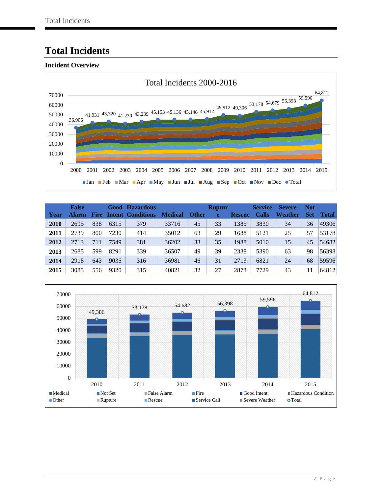# <span id="page-9-0"></span>**Total Incidents**

<span id="page-9-1"></span>

| Year | <b>False</b><br><b>Alarm</b> | <b>Fire</b> |      | Good Hazardous<br><b>Intent Conditions</b> | <b>Medical</b> | <b>Other</b> | <b>Ruptur</b><br>e | <b>Rescue</b> | <b>Service</b><br><b>Calls</b> | <b>Severe</b><br>Weather | <b>Not</b><br>Set | Total |
|------|------------------------------|-------------|------|--------------------------------------------|----------------|--------------|--------------------|---------------|--------------------------------|--------------------------|-------------------|-------|
| 2010 | 2695                         | 838         | 6315 | 379                                        | 33716          | 45           | 33                 | 1385          | 3830                           | 34                       | 36                | 49306 |
| 2011 | 2739                         | 800         | 7230 | 414                                        | 35012          | 63           | 29                 | 1688          | 5121                           | 25                       | 57                | 53178 |
| 2012 | 2713                         | 711         | 7549 | 381                                        | 36202          | 33           | 35                 | 1988          | 5010                           | 15                       | 45                | 54682 |
| 2013 | 2685                         | 599         | 8291 | 339                                        | 36507          | 49           | 39                 | 2338          | 5390                           | 63                       | 98                | 56398 |
| 2014 | 2918                         | 643         | 9035 | 316                                        | 36981          | 46           | 31                 | 2713          | 6821                           | 24                       | 68                | 59596 |
| 2015 | 3085                         | 556         | 9320 | 315                                        | 40821          | 32           | 27                 | 2873          | 7729                           | 43                       | 11                | 64812 |

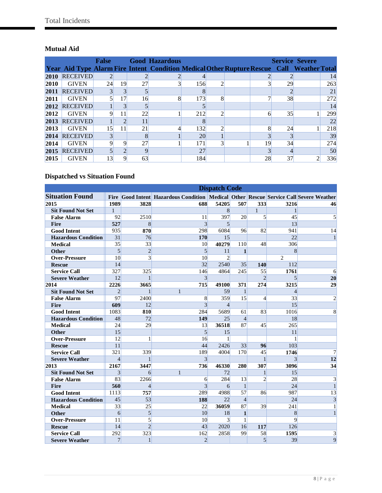### <span id="page-10-0"></span>**Mutual Aid**

|      |                 | <b>False</b> |                |    | <b>Good Hazardous</b>                                                                     |           |                |    |    | <b>Service Severe</b> |     |
|------|-----------------|--------------|----------------|----|-------------------------------------------------------------------------------------------|-----------|----------------|----|----|-----------------------|-----|
|      |                 |              |                |    | Year Aid Type Alarm Fire Intent Condition Medical Other Rupture Rescue Call Weather Total |           |                |    |    |                       |     |
| 2010 | <b>RECEIVED</b> |              |                |    | $\overline{2}$                                                                            |           |                |    |    |                       | 14  |
| 2010 | <b>GIVEN</b>    | 24           | 19             | 27 | $\overline{3}$                                                                            | 156       | $\overline{c}$ |    | 29 |                       | 263 |
| 2011 | <b>RECEIVED</b> |              | 3              |    |                                                                                           |           |                |    |    |                       | 21  |
| 2011 | <b>GIVEN</b>    |              | 17             | 16 | 8                                                                                         | 173       | 8              |    | 38 |                       | 272 |
| 2012 | <b>RECEIVED</b> |              | 3              |    |                                                                                           |           |                |    |    |                       | 14  |
| 2012 | <b>GIVEN</b>    |              | 11             | 22 |                                                                                           | 212       | $\mathfrak{D}$ | 6  | 35 |                       | 299 |
| 2013 | <b>RECEIVED</b> |              | $\overline{2}$ | 11 |                                                                                           |           |                |    |    |                       | 22  |
| 2013 | <b>GIVEN</b>    | 15           | 11             | 21 | 4                                                                                         | 132       | ◠              | 8  | 24 |                       | 218 |
| 2014 | <b>RECEIVED</b> |              |                |    |                                                                                           | <b>20</b> |                |    |    |                       | 39  |
| 2014 | <b>GIVEN</b>    |              | 9              | 27 |                                                                                           | 171       |                | 19 | 34 |                       | 274 |
| 2015 | <b>RECEIVED</b> |              | $\bigcap$      |    |                                                                                           | 27        |                |    |    |                       | 50  |
| 2015 | <b>GIVEN</b>    | 13           | 9              | 63 |                                                                                           | 184       |                | 28 | 37 |                       | 336 |

### <span id="page-10-1"></span>**Dispatched vs Situation Found**

|                            |                |                |                                                                                       | <b>Dispatch Code</b> |                |                |                |                |
|----------------------------|----------------|----------------|---------------------------------------------------------------------------------------|----------------------|----------------|----------------|----------------|----------------|
| <b>Situation Found</b>     |                |                | Fire Good Intent Hazardous Condition Medical Other Rescue Service Call Severe Weather |                      |                |                |                |                |
| 2015                       | 1989           | 3828           | 688                                                                                   | 54205                | 507            | 333            | 3216           | 46             |
| <b>Sit Found Not Set</b>   | $\mathbf{1}$   |                |                                                                                       | 8                    |                | $\mathbf{1}$   | 1              |                |
| <b>False Alarm</b>         | 92             | 2510           | 11                                                                                    | 397                  | 20             | $\mathbf{5}$   | 45             | 5              |
| <b>Fire</b>                | 527            | $\mathbf{8}$   | $\overline{3}$                                                                        | $\overline{5}$       |                |                | 13             |                |
| <b>Good Intent</b>         | 935            | 870            | 298                                                                                   | 6084                 | 96             | 82             | 941            | 14             |
| <b>Hazardous Condition</b> | 31             | 76             | 170                                                                                   | 15                   |                |                | 22             | $\mathbf{1}$   |
| <b>Medical</b>             | 35             | 33             | 10                                                                                    | 40279                | 110            | 48             | 306            |                |
| <b>Other</b>               | $\overline{5}$ | $\overline{2}$ | $\overline{5}$                                                                        | 11                   | $\mathbf{1}$   |                | 8              |                |
| <b>Over-Pressure</b>       | 10             | 3              | 10                                                                                    | $\overline{2}$       |                |                | 2              |                |
| <b>Rescue</b>              | 14             |                | 32                                                                                    | 2540                 | 35             | 140            | 112            |                |
| <b>Service Call</b>        | 327            | 325            | 146                                                                                   | 4864                 | 245            | 55             | 1761           | 6              |
| <b>Severe Weather</b>      | 12             | $\mathbf{1}$   | $\overline{3}$                                                                        |                      |                | $\overline{2}$ | 5              | 20             |
| 2014                       | 2226           | 3665           | 715                                                                                   | 49100                | 371            | 274            | 3215           | 29             |
| <b>Sit Found Not Set</b>   | $\overline{2}$ | $\mathbf{1}$   | $\mathbf{1}$                                                                          | 59                   | $\mathbf{1}$   |                | $\overline{4}$ |                |
| <b>False Alarm</b>         | 97             | 2400           | 8                                                                                     | 359                  | 15             | $\overline{4}$ | 33             | $\overline{2}$ |
| Fire                       | 609            | 12             | $\overline{3}$                                                                        | $\overline{4}$       |                |                | 15             |                |
| <b>Good Intent</b>         | 1083           | 810            | 284                                                                                   | 5689                 | 61             | 83             | 1016           | 8              |
| <b>Hazardous Condition</b> | 48             | 72             | 149                                                                                   | 25                   | $\overline{4}$ |                | 18             |                |
| <b>Medical</b>             | 24             | 29             | 13                                                                                    | 36518                | 87             | 45             | 265            |                |
| <b>Other</b>               | 15             |                | $\overline{5}$                                                                        | 15                   |                |                | 11             |                |
| <b>Over-Pressure</b>       | 12             | 1              | 16                                                                                    | $\mathbf{1}$         |                |                | $\mathbf{1}$   |                |
| <b>Rescue</b>              | 11             |                | 44                                                                                    | 2426                 | 33             | 96             | 103            |                |
| <b>Service Call</b>        | 321            | 339            | 189                                                                                   | 4004                 | 170            | 45             | 1746           | 7              |
| <b>Severe Weather</b>      | $\overline{4}$ | $\mathbf{1}$   | $\overline{3}$                                                                        |                      |                | $\mathbf{1}$   | 3              | 12             |
| 2013                       | 2167           | 3447           | 736                                                                                   | 46330                | 280            | 307            | 3096           | 34             |
| <b>Sit Found Not Set</b>   | 3              | 6              | $\mathbf{1}$                                                                          | 72                   |                | $\mathbf{1}$   | 15             |                |
| <b>False Alarm</b>         | 83             | 2266           | 6                                                                                     | 284                  | 13             | $\overline{c}$ | 28             | 3              |
| <b>Fire</b>                | 560            | $\overline{4}$ | $\overline{3}$                                                                        | 6                    | $\mathbf{1}$   |                | 24             | $\mathbf{1}$   |
| <b>Good Intent</b>         | 1113           | 757            | 289                                                                                   | 4988                 | 57             | 86             | 987            | 13             |
| <b>Hazardous Condition</b> | 45             | 53             | 188                                                                                   | 22                   | $\overline{4}$ |                | 24             | $\overline{3}$ |
| <b>Medical</b>             | 33             | 25             | 22                                                                                    | 36059                | 87             | 39             | 241            | $\mathbf{1}$   |
| <b>Other</b>               | 6              | 5              | 10 <sup>1</sup>                                                                       | 18                   | $\mathbf{1}$   |                | 8              | $\mathbf{1}$   |
| <b>Over-Pressure</b>       | 11             | $\overline{5}$ | 10                                                                                    | $\overline{3}$       | $\mathbf{1}$   |                | $\overline{9}$ |                |
| <b>Rescue</b>              | 14             | $\overline{2}$ | 43                                                                                    | 2020                 | 16             | 117            | 126            |                |
| <b>Service Call</b>        | 292            | 323            | 162                                                                                   | 2858                 | 99             | 58             | 1595           | 3              |
| <b>Severe Weather</b>      | 7              | $\mathbf{1}$   | $\overline{2}$                                                                        |                      |                | $\overline{5}$ | 39             | 9              |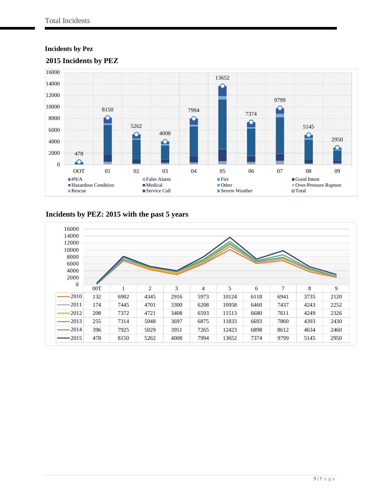### <span id="page-11-0"></span>**Incidents by Pez**



### <span id="page-11-1"></span>**2015 Incidents by PEZ**

### <span id="page-11-2"></span>**Incidents by PEZ: 2015 with the past 5 years**

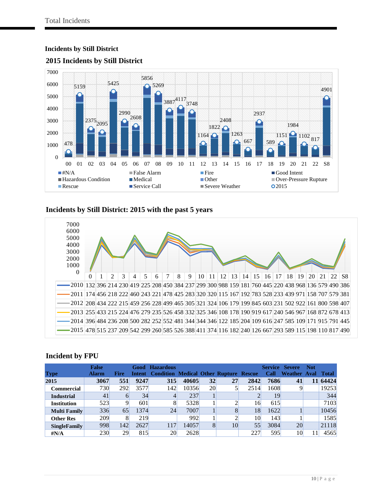

#### <span id="page-12-0"></span>**Incidents by Still District**

<span id="page-12-1"></span>

### <span id="page-12-2"></span>**Incidents by Still District: 2015 with the past 5 years**



#### <span id="page-12-3"></span>**Incident by FPU**

|                     | <b>False</b> |             | Good | <b>Hazardous</b>                                     |       |           |    |      |      | <b>Service Severe</b> | <b>Not</b> |              |
|---------------------|--------------|-------------|------|------------------------------------------------------|-------|-----------|----|------|------|-----------------------|------------|--------------|
| <b>Type</b>         | <b>Alarm</b> | <b>Fire</b> |      | <b>Intent Condition Medical Other Rupture Rescue</b> |       |           |    |      | Call | <b>Weather Aval</b>   |            | <b>Total</b> |
| 2015                | 3067         | 551         | 9247 | 315                                                  | 40605 | 32        | 27 | 2842 | 7686 | 41                    | 11         | 64424        |
| <b>Commercial</b>   | 730          | 292         | 3577 | 142                                                  | 10356 | <b>20</b> |    | 2514 | 1608 |                       |            | 19253        |
| <b>Industrial</b>   | 41           | h           | 34   |                                                      | 237   |           |    |      | 19   |                       |            | 344          |
| <b>Institution</b>  | 523          |             | 601  |                                                      | 5328  |           |    | 16   | 615  |                       |            | 7103         |
| <b>Multi Family</b> | 336          | 65          | 1374 | 24                                                   | 7007  |           |    | 18   | 1622 |                       |            | 10456        |
| <b>Other Res</b>    | 209          | 8           | 219  |                                                      | 992   |           |    | 10   | 143  |                       |            | 1585         |
| <b>SingleFamily</b> | 998          | 142         | 2627 | 117                                                  | 14057 | 8         | 10 | 55   | 3084 | 20                    |            | 21118        |
| $\sharp N/A$        | 230          | 29          | 815  | 20                                                   | 2628  |           |    | 227  | 595  | 10                    |            | 4565         |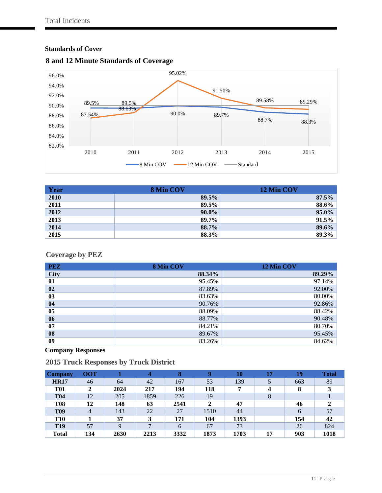#### <span id="page-13-0"></span>**Standards of Cover**



#### <span id="page-13-1"></span>**8 and 12 Minute Standards of Coverage**

| Year | 8 Min COV | 12 Min COV |
|------|-----------|------------|
| 2010 | 89.5%     | 87.5%      |
| 2011 | 89.5%     | 88.6%      |
| 2012 | 90.0%     | 95.0%      |
| 2013 | 89.7%     | 91.5%      |
| 2014 | 88.7%     | 89.6%      |
| 2015 | 88.3%     | 89.3%      |

### <span id="page-13-2"></span>**Coverage by PEZ**

| <b>PEZ</b>  | 8 Min COV | 12 Min COV |
|-------------|-----------|------------|
| <b>City</b> | 88.34%    | 89.29%     |
| 01          | 95.45%    | 97.14%     |
| 02          | 87.89%    | 92.00%     |
| 03          | 83.63%    | 80.00%     |
| 04          | 90.76%    | 92.86%     |
| 05          | 88.09%    | 88.42%     |
| 06          | 88.77%    | 90.48%     |
| 07          | 84.21%    | 80.70%     |
| 08          | 89.67%    | 95.45%     |
| 09          | 83.26%    | 84.62%     |

### <span id="page-13-3"></span>**Company Responses**

<span id="page-13-4"></span>

| <b>Company</b>  | <b>OOT</b> |             | 4    | 8    | Q    | 10   | 17 | 19  | <b>Total</b> |
|-----------------|------------|-------------|------|------|------|------|----|-----|--------------|
| <b>HR17</b>     | 46         | 64          | 42   | 167  | 53   | 139  |    | 663 | 89           |
| <b>T01</b>      |            | 2024        | 217  | 194  | 118  | 7    | 4  | 8   |              |
| <b>T04</b>      | 12         | 205         | 1859 | 226  | 19   |      | 8  |     |              |
| <b>T08</b>      | 12         | 148         | 63   | 2541 | 2    | 47   |    | 46  |              |
| <b>T09</b>      | 4          | 143         | 22   | 27   | 1510 | 44   |    | 6   | 57           |
| <b>T10</b>      |            | 37          | 3    | 171  | 104  | 1393 |    | 154 | 42           |
| T <sub>19</sub> | 57         | $\mathbf Q$ | ⇁    | 6    | 67   | 73   |    | 26  | 824          |
| <b>Total</b>    | 134        | 2630        | 2213 | 3332 | 1873 | 1703 | 17 | 903 | 1018         |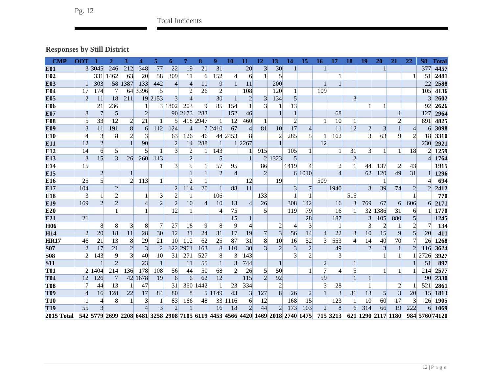# Total Incidents

# **Responses by Still District**

<span id="page-14-0"></span>

| <b>CMP</b>      | <b>OOT</b>     |                                                                           | $\mathbf{2}$   | 3              | 4              | 5              | 6                       | 7              | 8              | 9              | 10             | 11             | 12             | 13             | 14             | 15             | 16             | 17             | 18             | 19                      | 20             | 21             | 22               | <b>S8</b>        | Total          |
|-----------------|----------------|---------------------------------------------------------------------------|----------------|----------------|----------------|----------------|-------------------------|----------------|----------------|----------------|----------------|----------------|----------------|----------------|----------------|----------------|----------------|----------------|----------------|-------------------------|----------------|----------------|------------------|------------------|----------------|
| <b>E01</b>      |                | 3 3 0 4 5                                                                 | 246            | 212            | 348            | 77             | 22                      | 19             | 21             | 31             |                | 20             | 3              | 30             |                |                |                |                |                |                         |                |                |                  | 377              | 4457           |
| E <sub>02</sub> |                | 331                                                                       | 1462           | 63             | 20             | 58             | 309                     | 11             | 6              | 152            | $\overline{4}$ | 6              |                | 5              |                |                |                |                |                |                         |                |                | 1                | 51               | 2481           |
| <b>E03</b>      |                | 303                                                                       | 58             | 1387           | 133            | 442            | $\frac{4}{ }$           | 4              | 11             | 9              |                | 11             |                | 200            |                |                |                |                |                |                         |                |                |                  | 22               | 2588           |
| <b>E04</b>      | 17             | 174                                                                       | $\overline{7}$ | 64             | 3396           | 5              |                         | $\mathfrak{D}$ | 26             | $\overline{2}$ |                | 108            |                | 120            |                |                | 109            |                |                |                         |                |                |                  | 105              | 4136           |
| <b>E05</b>      | $\overline{2}$ | 11                                                                        | 18             | 211            | 19             | 2153           | 3 <sup>l</sup>          | $\overline{4}$ |                | 30             |                | $\overline{c}$ | 3              | 134            | 5              |                |                |                | $\overline{3}$ |                         |                |                |                  | 3                | 2602           |
| <b>E06</b>      |                | 21                                                                        | 236            |                |                | 31             | 1802                    | 203            | 9              | 85             | 154            |                | 3              | 1              | 13             |                |                |                |                |                         |                |                |                  | 92               | 2626           |
| <b>E07</b>      | 8              | 7                                                                         | $\overline{5}$ |                | $\overline{2}$ |                | 90                      | 2173           | 283            |                | 152            | 46             |                |                |                |                |                | 68             |                |                         |                |                |                  | 127              | 2964           |
| <b>E08</b>      | 5              | 33                                                                        | 12             |                | 21             |                |                         |                | 418 2947       |                | 12             | 460            |                |                | $\overline{c}$ |                |                | 10             |                |                         |                | 2              |                  | 89               | 4825           |
| <b>E09</b>      | $\overline{3}$ | 11                                                                        | 191            | 8              | 6              | 112            | 124                     | 4              |                | 7 24 10        | 67             | $\overline{4}$ | 81             | 10             | 17             | 4              |                | 11             | 12             | $\overline{c}$          | 3              |                | $\left 4\right $ | 6                | 3098           |
| E <sub>10</sub> | 4              | 3                                                                         | 8              | $\overline{2}$ | $\overline{3}$ |                | 63                      | 126            | 46             | 44             | 2453           | 8              |                | $\overline{c}$ | 285            | $\mathfrak{h}$ |                | 162            |                | $\overline{\mathbf{3}}$ | 63             | 9              | $\overline{2}$   | 18               | 3310           |
| E11             | 12             | $\overline{2}$                                                            |                |                | 90             |                | $\overline{2}$          | 14             | 288            | -1             |                | 2267           |                |                |                |                | 12             |                |                |                         |                |                |                  | 230              | 2921           |
| E12             | 14             | 6                                                                         | $\mathfrak{g}$ |                | $\mathcal{F}$  |                | 3                       | 2              |                | 143            |                |                | 915            |                | 105            |                |                | 1              | 31             | $\overline{3}$          |                | 1              | 18               | $\overline{2}$   | 1259           |
| E13             | $\overline{3}$ | 15                                                                        | 3              | 26             | 260            | 113            |                         | $\overline{2}$ |                | 5              |                |                |                | 2 1323         | 5              |                |                |                | $\overline{2}$ |                         |                |                |                  | $\left 4\right $ | 1764           |
| E14             | 15             |                                                                           |                |                |                |                | $\overline{\mathbf{3}}$ | 5              |                | 57             | 95             |                | 86             |                | 1419           | 4              |                | $\overline{c}$ | $\mathbf{1}$   | 44                      | 137            | $\overline{c}$ | 43               |                  | 1915           |
| E15             |                | $\overline{2}$                                                            |                |                |                |                |                         |                |                | $\overline{2}$ | 4              |                | $\overline{2}$ |                |                | 6 1010         |                | 4              |                | 62                      | 120            | 49             | 31               |                  | 1296           |
| E16             | 25             | 5                                                                         |                | 2              | 113            |                |                         | $\overline{c}$ |                |                |                | 12             |                | 19             |                |                | 509            |                |                |                         |                |                |                  |                  | 694            |
| E17             | 104            |                                                                           | $\overline{2}$ |                |                |                | $\overline{2}$          | 114            | 20             |                | 88             | 11             |                |                | 3              | 7              |                | 1940           |                | 3                       | 39             | 74             | 2                | $\overline{2}$   | 2412           |
| E18             | $\overline{3}$ | 1                                                                         | $\overline{2}$ |                |                | 3              | $\overline{c}$          |                |                | 106            |                |                | 133            |                |                |                |                |                | 515            |                         |                |                | 1                |                  | 770            |
| E <sub>19</sub> | 169            | $\overline{2}$                                                            | $\overline{2}$ |                |                | $\overline{2}$ | $\overline{2}$          | 10             | $\overline{4}$ | 10             | 13             | $\overline{4}$ | 26             |                | 308            | 142            |                | 16             | $\overline{3}$ | 769                     | 67             | 6              | 606              | 6                | 2171           |
| E20             |                |                                                                           |                |                |                |                | 12                      |                |                | 4              | 75             |                |                |                | 119            | 79             |                | 16             |                | 32                      | 1386           | 31             | 6                |                  | 1770           |
| E21             | 21             |                                                                           |                |                |                |                |                         |                |                |                | 15             |                |                |                |                | 28             |                | 187            |                | 3                       | 105            | 880            | 5                |                  | 1245           |
| H <sub>06</sub> |                | 8                                                                         | 8              | 3              | 8              | 7              | 27                      | 18             | 9              | 8              | 9              | 4              |                | 2              |                | 3              |                | $\mathbf{1}$   |                | 3                       |                | 1              | $\overline{2}$   |                  | 134            |
| <b>H14</b>      | $\overline{2}$ | 20                                                                        | 18             | 11             | 28             | 30             | 12                      | 31             | 24             | 31             | 17             | 19             |                | 3              | 56             | 14             | 4              | 22             | $\overline{3}$ | 10                      | 15             | 9              | 5                | 20 <sup>°</sup>  | 411            |
| <b>HR17</b>     | 46             | 21                                                                        | 13             | 8              | 29             | 21             | 10 <sup>l</sup>         | 112            | 62             | 25             | 87             | 31             | 8              | 10             | 16             | 52             | 3              | 553            | 4              | 14                      | 40             | 70             | 7                | 26               | 1268           |
| <b>S07</b>      | $\overline{2}$ | 17                                                                        | 21             | $\overline{2}$ | $\overline{3}$ | $\overline{2}$ | 122                     | 2961           | 163            | 8              | 110            | 30             | $\overline{3}$ | $\overline{2}$ | 3              | $\overline{2}$ |                | 49             |                | $\overline{2}$          | 3              | $\mathbf{1}$   | $\overline{2}$   | 116              | 3624           |
| <b>S08</b>      | $\overline{2}$ | 143                                                                       | 9              | $\overline{3}$ | 40             | 10             | 31                      | 271            | 527            | 8              | $\overline{3}$ | 143            |                |                | 3              | $\overline{2}$ |                | $\overline{3}$ |                |                         |                | 1              |                  | 2726             | 3927           |
| <b>S11</b>      |                |                                                                           | $\overline{2}$ |                | 23             |                |                         | 11             | 55             | $\mathbf{1}$   | 3              | 744            |                | $\mathbf{1}$   |                |                | $\overline{2}$ |                |                |                         |                |                |                  | 51               | 897            |
| <b>T01</b>      | $\overline{2}$ | 1404                                                                      | 214            | 136            | 178            | 108            | 56                      | 44             | 50             | 68             | $\overline{2}$ | 26             | $\mathfrak{S}$ | 50             |                |                |                | $\overline{4}$ | 5              |                         |                | 1              |                  | 214              | 2577           |
| <b>T04</b>      | 12             | 126                                                                       | 7              | 42             | 1678           | 19             | $6 \overline{6}$        | 6              | 62             | 12             |                | 115            | $\overline{2}$ | 92             |                |                | 59             |                |                |                         |                |                |                  | 90               | 2330           |
| <b>T08</b>      |                | 44                                                                        | 13             |                | 47             |                | 31                      |                | 360 1442       | $\mathbf{1}$   | 23             | 334            |                | 2              |                |                | 3 <sub>1</sub> | 28             |                |                         |                | $\overline{2}$ |                  | 521              | 2861           |
| <b>T09</b>      | $\overline{4}$ | 16                                                                        | 128            | 22             | 17             | 84             | 80                      | 8              |                | 5 1149         | 43             | $\overline{3}$ | 127            | 8              | 26             | $\overline{2}$ |                | 3              | 31             | 13                      | 5              | 3              | 20               | <b>15</b>        | 1813           |
| <b>T10</b>      |                | 4                                                                         | 8              |                | $\overline{3}$ | 1              | 83                      | 166            | 48             | 33             | 1116           | 6              | 12             |                | 168            | 15             |                | 123            | -1             | 10                      | 60             | 17             | 3                | 26               | 1905           |
| <b>T19</b>      | 55             | 3                                                                         |                |                |                | 3              | $\overline{2}$          |                |                | 16             | 18             | $\overline{2}$ | 44             | $\overline{2}$ | 173            | 103            | $\overline{2}$ | 8              | 6              | 314                     | 66             | 19             | 222              | 6                | 1069           |
| 2015 Total      |                | 542 5779 2699 2208 6481 3258 2908 7105 6119 4453 4566 4420 1469 2018 2740 |                |                |                |                |                         |                |                |                |                |                |                |                |                | 1475           |                | 715 3213       | 621            |                         | 1290 2117 1180 |                |                  |                  | 984 5760 74120 |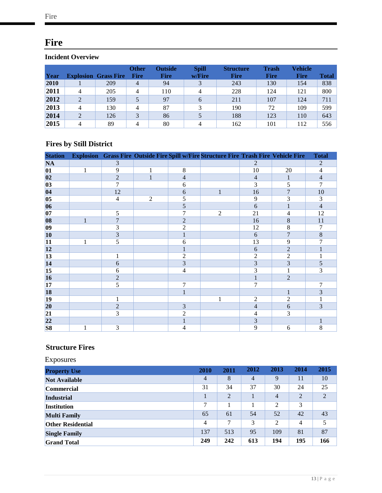# <span id="page-15-0"></span>**Fire**

### <span id="page-15-1"></span>**Incident Overview**

| Year |                | <b>Explosion Grass Fire</b> | <b>Other</b><br><b>Fire</b> | <b>Outside</b><br><b>Fire</b> | <b>Spill</b><br>w/Fire | <b>Structure</b><br><b>Fire</b> | Trash<br><b>Fire</b> | <b>Vehicle</b><br><b>Fire</b> | Total |
|------|----------------|-----------------------------|-----------------------------|-------------------------------|------------------------|---------------------------------|----------------------|-------------------------------|-------|
| 2010 |                | 209                         | 4                           | 94                            |                        | 243                             | 130                  | 154                           | 838   |
| 2011 | $\overline{4}$ | 205                         | 4                           | 110                           | 4                      | 228                             | 124                  | 121                           | 800   |
| 2012 | $\overline{2}$ | 159                         |                             | 97                            | 6                      | 211                             | 107                  | 124                           | 711   |
| 2013 | $\overline{4}$ | 130                         | 4                           | 87                            |                        | 190                             | 72                   | 109                           | 599   |
| 2014 | $\overline{2}$ | 126                         |                             | 86                            |                        | 188                             | 123                  | 110                           | 643   |
| 2015 | 4              | 89                          | 4                           | 80                            | 4                      | 162                             | 101                  | 112                           | 556   |

### <span id="page-15-2"></span>**Fires by Still District**

| <b>Station</b>  |              |                |                |                          | Explosion Grass Fire Outside Fire Spill w/Fire Structure Fire Trash Fire Vehicle Fire |                |                | <b>Total</b>   |
|-----------------|--------------|----------------|----------------|--------------------------|---------------------------------------------------------------------------------------|----------------|----------------|----------------|
| <b>NA</b>       |              | 3              |                |                          |                                                                                       | $\overline{2}$ |                | $\overline{2}$ |
| 01              | $\mathbf{1}$ | 9              | 1              | 8                        |                                                                                       | 10             | 20             | $\overline{4}$ |
| 02              |              | $\overline{2}$ | $\mathbf{1}$   | $\overline{4}$           |                                                                                       | $\overline{4}$ | $\mathbf{1}$   | $\overline{4}$ |
| 03              |              | 7              |                | 6                        |                                                                                       | 3              | 5              | 7              |
| 04              |              | 12             |                | 6                        | $\mathbf{1}$                                                                          | 16             | $\overline{7}$ | 10             |
| 05              |              | $\overline{4}$ | $\mathfrak{2}$ | 5                        |                                                                                       | 9              | 3              | 3              |
| 06              |              |                |                | 5                        |                                                                                       | 6              | $\mathbf{1}$   | $\overline{4}$ |
| 07              |              | 5              |                | 7                        | $\overline{2}$                                                                        | 21             | 4              | 12             |
| 08              | $\mathbf{1}$ | $\overline{7}$ |                | $\overline{2}$           |                                                                                       | 16             | 8              | 11             |
| $ 09\rangle$    |              | 3              |                | $\overline{c}$           |                                                                                       | 12             | 8              | 7              |
| 10              |              | 3              |                | $\mathbf{1}$             |                                                                                       | 6              | 7              | 8              |
| 11              | 1            | 5              |                | 6                        |                                                                                       | 13             | 9              | 7              |
| 12              |              |                |                |                          |                                                                                       | 6              | $\overline{2}$ |                |
| 13              |              | 1              |                | 2                        |                                                                                       | $\overline{c}$ | 2              |                |
| 14              |              | 6              |                | 3                        |                                                                                       | 3              | 3              | 5              |
| 15              |              | 6              |                | $\overline{\mathcal{A}}$ |                                                                                       | 3              | 1              | 3              |
| 16              |              | $\overline{2}$ |                |                          |                                                                                       | $\mathbf{1}$   | $\overline{2}$ |                |
| 17              |              | 5              |                | 7                        |                                                                                       | 7              |                | 7              |
| <b>18</b>       |              |                |                | $\mathbf{1}$             |                                                                                       |                | $\mathbf{1}$   | 3              |
| $ 19\rangle$    |              | 1              |                |                          | 1                                                                                     | $\overline{c}$ | $\overline{c}$ |                |
| 20              |              | $\overline{c}$ |                | 3                        |                                                                                       | $\overline{4}$ | 6              | 3              |
| 21              |              | 3              |                | $\overline{2}$           |                                                                                       | 4              | 3              |                |
| $\overline{22}$ |              |                |                | $\mathbf{1}$             |                                                                                       | 3              |                |                |
| S <sub>8</sub>  | 1            | 3              |                | 4                        |                                                                                       | 9              | 6              | 8              |

### <span id="page-15-3"></span>**Structure Fires**

| Exposures                |      |                |                |                |                |      |
|--------------------------|------|----------------|----------------|----------------|----------------|------|
| <b>Property Use</b>      | 2010 | 2011           | 2012           | 2013           | 2014           | 2015 |
| <b>Not Available</b>     | 4    | 8              | $\overline{4}$ | 9              | 11             | 10   |
| <b>Commercial</b>        | 31   | 34             | 37             | 30             | 24             | 25   |
| <b>Industrial</b>        |      | $\overline{2}$ |                | $\overline{4}$ | $\overline{2}$ | 2    |
| <b>Institution</b>       | 7    |                |                | $\overline{2}$ | 3              |      |
| <b>Multi Family</b>      | 65   | 61             | 54             | 52             | 42             | 43   |
| <b>Other Residential</b> | 4    | 7              | 3              | $\overline{2}$ | 4              | 5    |
| <b>Single Family</b>     | 137  | 513            | 95             | 109            | 81             | 87   |
| <b>Grand Total</b>       | 249  | 242            | 613            | 194            | 195            | 166  |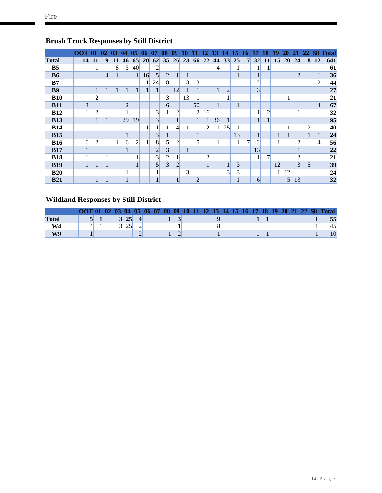|                | OOT. | -01            | 02             | 03        | -04              | 05             | 06        | 07              | 08             | 09             |                |                | 12.            | ,              | 14             | 15             | 16 | 17             | 18             | 19 | 20              | 21             |   |                | 22 S8 Total |
|----------------|------|----------------|----------------|-----------|------------------|----------------|-----------|-----------------|----------------|----------------|----------------|----------------|----------------|----------------|----------------|----------------|----|----------------|----------------|----|-----------------|----------------|---|----------------|-------------|
| <b>Total</b>   | 14   | <b>11</b>      | 9              | <b>11</b> | 46               | 65             | <b>20</b> | 62              | 35             | 26             | 23             | 66             | 22             | 44             | 33             | 25             | 7  | 32             | 11             | 15 | <b>20</b>       | 24             | 8 | 12             | 641         |
| B <sub>5</sub> |      |                |                | 8         | $\overline{3}$   | 40             |           | 2               |                |                |                |                |                | $\overline{4}$ |                |                |    | 1              |                |    |                 |                |   |                | 61          |
| <b>B6</b>      |      |                | $\overline{4}$ |           |                  | 1              | 16        | 5               | $\overline{2}$ |                | 1              |                |                |                |                |                |    | 1              |                |    |                 | $\overline{2}$ |   | 1              | 36          |
| B7             |      |                |                |           |                  |                |           | 24              | 8              |                | 3 <sup>l</sup> | $\overline{3}$ |                |                |                |                |    | $\overline{c}$ |                |    |                 |                |   | $\overline{2}$ | 44          |
| <b>B9</b>      |      |                |                |           | 1                | 1              |           |                 |                | 12             | $\mathbf{1}$   |                |                |                | $\overline{2}$ |                |    | 3 <sup>1</sup> |                |    |                 |                |   |                | 27          |
| <b>B10</b>     |      | $\overline{2}$ |                |           |                  |                |           |                 | 3 <sup>1</sup> |                | 13             |                |                |                |                |                |    |                |                |    | 1               |                |   |                | 21          |
| <b>B11</b>     | 3    |                |                |           | $\overline{c}$   |                |           |                 | 6              |                |                | 50             |                |                |                |                |    |                |                |    |                 |                |   | $\overline{4}$ | 67          |
| <b>B12</b>     |      | $\overline{c}$ |                |           |                  |                |           | 3               | 1              | 2              |                | $\overline{c}$ | 16             |                |                |                |    | $\mathbf{1}$   | 2              |    |                 |                |   |                | 32          |
| <b>B13</b>     |      |                | 1              |           | 29               | 19             |           | $\overline{3}$  |                |                |                | 1              | 1              | 36             |                |                |    | $\mathbf{1}$   |                |    |                 |                |   |                | 95          |
| <b>B14</b>     |      |                |                |           |                  |                |           |                 |                | 4              |                |                | $\overline{2}$ |                | 25             |                |    |                |                |    |                 |                | 2 |                | 40          |
| <b>B15</b>     |      |                |                |           | 1                |                |           | 3               |                |                |                |                |                |                |                | 13             |    | $\mathbf{1}$   |                |    |                 |                |   | 1              | 24          |
| <b>B16</b>     | 6    | $\overline{2}$ |                | 1         | $6 \overline{6}$ | $\overline{2}$ |           | 8               | $\mathbf{5}$   | $\overline{2}$ |                | 5              |                |                |                |                | 7  | $\overline{c}$ |                |    |                 | $\overline{c}$ |   | $\vert$        | 56          |
| <b>B17</b>     |      |                |                |           | $\mathbf{1}$     |                |           | $\overline{2}$  | $\overline{3}$ |                | $\mathbf{1}$   |                |                |                |                |                |    | 13             |                |    |                 |                |   |                | 22          |
| <b>B18</b>     |      |                |                |           |                  |                |           | $\vert 3 \vert$ | $\overline{2}$ |                |                |                | $\overline{c}$ |                |                |                |    | $\mathbf{1}$   | $\overline{7}$ |    |                 | $\overline{c}$ |   |                | 21          |
| <b>B19</b>     |      |                |                |           |                  | 1              |           | 5               | $\overline{3}$ | $\overline{2}$ |                |                |                |                |                | 3              |    |                |                | 12 |                 | 3 <sup>l</sup> | 5 |                | 39          |
| <b>B20</b>     |      |                |                |           |                  |                |           | -1              |                |                | 3 <sup>l</sup> |                |                |                | $\overline{3}$ | $\overline{3}$ |    |                |                |    | 12              |                |   |                | 24          |
| <b>B21</b>     |      |                |                |           |                  |                |           |                 |                |                |                | $\overline{2}$ |                |                |                |                |    | 6              |                |    | $\vert 5 \vert$ | 13             |   |                | 32          |

### <span id="page-16-0"></span>**Brush Truck Responses by Still District**

### <span id="page-16-1"></span>**Wildland Responses by Still District**

|              | OOT 01 |  |    |  |  |  |  |  | 02 03 04 05 06 07 08 09 10 11 12 13 14 15 16 17 18 19 20 21 22 S8 |  |  |  |  | <b>Total</b> |
|--------------|--------|--|----|--|--|--|--|--|-------------------------------------------------------------------|--|--|--|--|--------------|
| <b>Total</b> |        |  | 25 |  |  |  |  |  |                                                                   |  |  |  |  | 55           |
| W4           |        |  |    |  |  |  |  |  |                                                                   |  |  |  |  |              |
| W9           |        |  |    |  |  |  |  |  |                                                                   |  |  |  |  | 10           |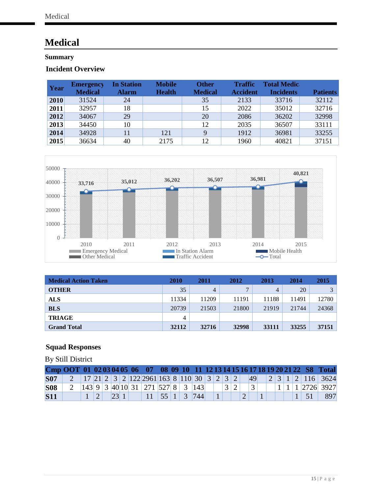# <span id="page-17-0"></span>**Medical**

### <span id="page-17-1"></span>**Summary**

### <span id="page-17-2"></span>**Incident Overview**

| Year | <b>Emergency</b><br><b>Medical</b> | <b>In Station</b><br><b>Alarm</b> | <b>Mobile</b><br><b>Health</b> | <b>Other</b><br><b>Medical</b> | <b>Traffic</b><br><b>Accident</b> | <b>Total Medic</b><br><b>Incidents</b> | <b>Patients</b> |
|------|------------------------------------|-----------------------------------|--------------------------------|--------------------------------|-----------------------------------|----------------------------------------|-----------------|
| 2010 | 31524                              | 24                                |                                | 35                             | 2133                              | 33716                                  | 32112           |
| 2011 | 32957                              | 18                                |                                | 15                             | 2022                              | 35012                                  | 32716           |
| 2012 | 34067                              | 29                                |                                | 20                             | 2086                              | 36202                                  | 32998           |
| 2013 | 34450                              | 10                                |                                | 12                             | 2035                              | 36507                                  | 33111           |
| 2014 | 34928                              | 11                                | 121                            | 9                              | 1912                              | 36981                                  | 33255           |
| 2015 | 36634                              | 40                                | 2175                           | 12                             | 1960                              | 40821                                  | 37151           |



| <b>Medical Action Taken</b> | <b>2010</b> | 2011  | 2012         | 2013  | 2014  | 2015         |
|-----------------------------|-------------|-------|--------------|-------|-------|--------------|
| <b>OTHER</b>                | 35          | 4     | $\mathbf{r}$ | 4     | 20    | $\mathbf{R}$ |
| <b>ALS</b>                  | 11334       | 11209 | 11191        | 11188 | 11491 | 12780        |
| <b>BLS</b>                  | 20739       | 21503 | 21800        | 21919 | 21744 | 24368        |
| <b>TRIAGE</b>               | 4           |       |              |       |       |              |
| <b>Grand Total</b>          | 32112       | 32716 | 32998        | 33111 | 33255 | 37151        |

### <span id="page-17-3"></span>**Squad Responses**

By Still District

|            |  |  |      |                                                                                                                                |  |  |  |  |  |  |  |             | Cmp OOT 01 02 03 04 05 06 07 08 09 10 11 12 13 14 15 16 17 18 19 20 21 22 S8 Total |
|------------|--|--|------|--------------------------------------------------------------------------------------------------------------------------------|--|--|--|--|--|--|--|-------------|------------------------------------------------------------------------------------|
| <b>S07</b> |  |  |      |                                                                                                                                |  |  |  |  |  |  |  |             | 2 17 21 2 3 2 122 2961 163 8 110 30 3 2 3 2 49 2 3 1 2 116 3624                    |
| <b>S08</b> |  |  |      | 2 $\left  143 \right  9 \left  3 \right  40 \left  10 \right  31 \left  271 \right  527 \left  8 \right  3 \left  143 \right $ |  |  |  |  |  |  |  |             | $11112726$ 3927                                                                    |
| <b>S11</b> |  |  | 23 1 | 11   55   1   3   744                                                                                                          |  |  |  |  |  |  |  | $1 \mid 51$ | 897                                                                                |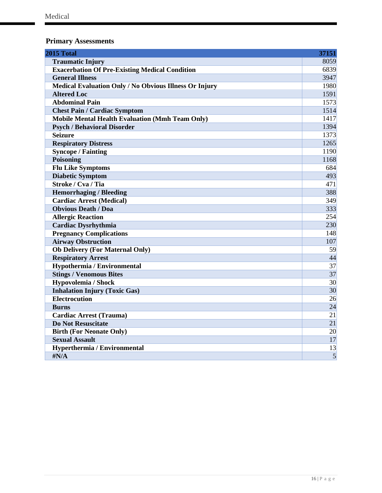### <span id="page-18-0"></span>**Primary Assessments**

| 2015 Total                                             | 37151           |
|--------------------------------------------------------|-----------------|
| <b>Traumatic Injury</b>                                | 8059            |
| <b>Exacerbation Of Pre-Existing Medical Condition</b>  | 6839            |
| <b>General Illness</b>                                 | 3947            |
| Medical Evaluation Only / No Obvious Illness Or Injury | 1980            |
| <b>Altered Loc</b>                                     | 1591            |
| <b>Abdominal Pain</b>                                  | 1573            |
| <b>Chest Pain / Cardiac Symptom</b>                    | 1514            |
| <b>Mobile Mental Health Evaluation (Mmh Team Only)</b> | 1417            |
| <b>Psych / Behavioral Disorder</b>                     | 1394            |
| <b>Seizure</b>                                         | 1373            |
| <b>Respiratory Distress</b>                            | 1265            |
| <b>Syncope / Fainting</b>                              | 1190            |
| Poisoning                                              | 1168            |
| <b>Flu Like Symptoms</b>                               | 684             |
| <b>Diabetic Symptom</b>                                | 493             |
| Stroke / Cva / Tia                                     | 471             |
| <b>Hemorrhaging / Bleeding</b>                         | 388             |
| <b>Cardiac Arrest (Medical)</b>                        | 349             |
| <b>Obvious Death / Doa</b>                             | 333             |
| <b>Allergic Reaction</b>                               | 254             |
| <b>Cardiac Dysrhythmia</b>                             | 230             |
| <b>Pregnancy Complications</b>                         | 148             |
| <b>Airway Obstruction</b>                              | 107             |
| <b>Ob Delivery (For Maternal Only)</b>                 | 59              |
| <b>Respiratory Arrest</b>                              | 44              |
| Hypothermia / Environmental                            | $\overline{37}$ |
| <b>Stings / Venomous Bites</b>                         | $\overline{37}$ |
| Hypovolemia / Shock                                    | $\overline{30}$ |
| <b>Inhalation Injury (Toxic Gas)</b>                   | 30              |
| <b>Electrocution</b>                                   | 26              |
| <b>Burns</b>                                           | 24              |
| <b>Cardiac Arrest (Trauma)</b>                         | 21              |
| <b>Do Not Resuscitate</b>                              | 21              |
| <b>Birth (For Neonate Only)</b>                        | 20              |
| <b>Sexual Assault</b>                                  | 17              |
| Hyperthermia / Environmental                           | 13              |
| $\sharp N/A$                                           | $\overline{5}$  |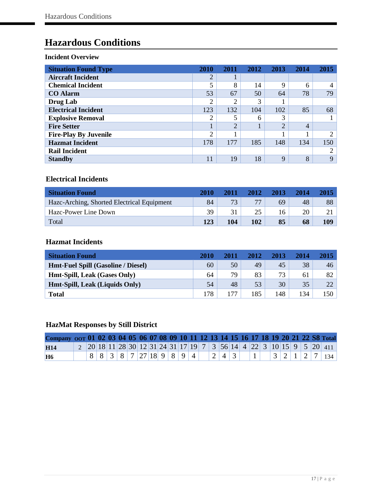# <span id="page-19-0"></span>**Hazardous Conditions**

#### <span id="page-19-1"></span>**Incident Overview**

| <b>Situation Found Type</b>  | 2010           | 2011           | 2012 | 2013        | 2014           | 2015     |
|------------------------------|----------------|----------------|------|-------------|----------------|----------|
| <b>Aircraft Incident</b>     | $\overline{2}$ |                |      |             |                |          |
| <b>Chemical Incident</b>     | 5              | 8              | 14   | $\mathbf Q$ | 6              |          |
| <b>CO</b> Alarm              | 53             | 67             | 50   | 64          | 78             | 79       |
| <b>Drug Lab</b>              | 2              | 2              | 3    |             |                |          |
| <b>Electrical Incident</b>   | 123            | 132            | 104  | 102         | 85             | 68       |
| <b>Explosive Removal</b>     | 2              | 5              | 6    | 3           |                |          |
| <b>Fire Setter</b>           | $\mathbf{I}$   | $\overline{2}$ |      | $\bigcap$   | $\overline{4}$ |          |
| <b>Fire-Play By Juvenile</b> | $\overline{2}$ |                |      |             |                | $\Omega$ |
| <b>Hazmat Incident</b>       | 178            | 177            | 185  | 148         | 134            | 150      |
| <b>Rail Incident</b>         |                |                |      |             |                | ◠        |
| <b>Standby</b>               | 11             | 19             | 18   | $\mathbf Q$ | 8              | 9        |

### <span id="page-19-2"></span>**Electrical Incidents**

| <b>Situation Found</b>                     | 2010 | 2011 | 2012 | 2013 | 2014 | 2015 |
|--------------------------------------------|------|------|------|------|------|------|
| Hazc-Arching, Shorted Electrical Equipment | 84   | 73   |      | 69   | 48   | 88   |
| Hazc-Power Line Down                       | 39   |      | 25   |      | 20   |      |
| Total                                      | 123  | 104  | 102  | 85   | 68   | 109  |

### <span id="page-19-3"></span>**Hazmat Incidents**

| <b>Situation Found</b>                    | 2010 | 2011 | 2012 | 2013 | 2014 | 2015 |
|-------------------------------------------|------|------|------|------|------|------|
| <b>Hmt-Fuel Spill (Gasoline / Diesel)</b> | 60   | 50   | 49   | 45   | 38   | 46   |
| <b>Hmt-Spill, Leak (Gases Only)</b>       | 64   | 79   | 83   | 73   | 61   | 82   |
| Hmt-Spill, Leak (Liquids Only)            | 54   | 48   | 53   | 30   | 35   | 22   |
| <b>Total</b>                              | 178  | 177  | 185  | 148  | 134  | 150  |

### <span id="page-19-4"></span>**HazMat Responses by Still District**

| Company 00T 01 02 03 04 05 06 07 08 09 10 11 12 13 14 15 16 17 18 19 20 21 22 S8 Total |  |  |  |                |  |  |  |                                 |  |  |  |  |                                                                                                                                                                                                            |
|----------------------------------------------------------------------------------------|--|--|--|----------------|--|--|--|---------------------------------|--|--|--|--|------------------------------------------------------------------------------------------------------------------------------------------------------------------------------------------------------------|
| <b>H14</b>                                                                             |  |  |  |                |  |  |  |                                 |  |  |  |  | $2\left[20\right]18\left[11\right]28\left[30\right]12\left[31\right]24\left[31\right]17\left[19\right]7\left[3\right]56\left[14\right]4\left[22\right]3\left[10\right]15\left[9\right]5\left[20\right]411$ |
| H <sub>6</sub>                                                                         |  |  |  | 88838727189894 |  |  |  | $\vert 2 \vert 4 \vert 3 \vert$ |  |  |  |  | 1   3   2   1   2   7   134                                                                                                                                                                                |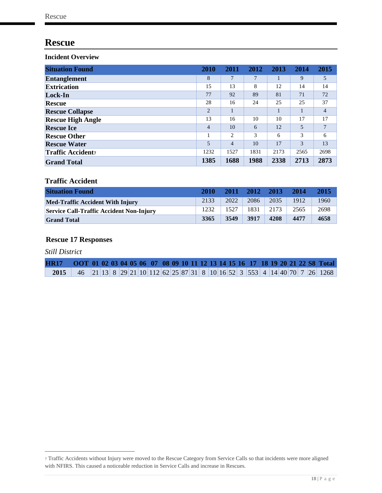## <span id="page-20-0"></span>**Rescue**

<span id="page-20-1"></span>**Incident Overview** 

| <b>Situation Found</b>   | 2010           | 2011           | 2012 | 2013 | 2014 | 2015           |
|--------------------------|----------------|----------------|------|------|------|----------------|
| <b>Entanglement</b>      | 8              | 7              | 7    |      | 9    | 5              |
| <b>Extrication</b>       | 15             | 13             | 8    | 12   | 14   | 14             |
| Lock-In                  | 77             | 92             | 89   | 81   | 71   | 72             |
| Rescue                   | 28             | 16             | 24   | 25   | 25   | 37             |
| <b>Rescue Collapse</b>   | $\overline{2}$ |                |      |      |      | $\overline{4}$ |
| <b>Rescue High Angle</b> | 13             | 16             | 10   | 10   | 17   | 17             |
| <b>Rescue Ice</b>        | 4              | 10             | 6    | 12   | 5    | 7              |
| <b>Rescue Other</b>      |                | 2              | 3    | 6    | 3    | 6              |
| <b>Rescue Water</b>      | 5              | $\overline{4}$ | 10   | 17   | 3    | 13             |
| <b>Traffic Accident</b>  | 1232           | 1527           | 1831 | 2173 | 2565 | 2698           |
| <b>Grand Total</b>       | 1385           | 1688           | 1988 | 2338 | 2713 | 2873           |

### **Traffic Accident**

| <b>Situation Found</b>                          | 2010 | 2011 | 2012 | 2013 | 2014 | 2015 |
|-------------------------------------------------|------|------|------|------|------|------|
| <b>Med-Traffic Accident With Injury</b>         | 2133 | 2022 | 2086 | 2035 | 1912 | 1960 |
| <b>Service Call-Traffic Accident Non-Injury</b> | 1232 | 1527 | 1831 | 2173 | 2565 | 2698 |
| <b>Grand Total</b>                              | 3365 | 3549 | 3917 | 4208 | 4477 | 4658 |

### <span id="page-20-2"></span>**Rescue 17 Responses**

*Still District*

 $\overline{a}$ 

| HR17 OOT 01 02 03 04 05 06 07 08 09 10 11 12 13 14 15 16 17 18 19 20 21 22 S8 Total   |  |  |  |  |  |  |  |  |  |  |  |  |  |
|---------------------------------------------------------------------------------------|--|--|--|--|--|--|--|--|--|--|--|--|--|
| <b>2015</b> 46 21 13 8 29 21 10 112 62 25 87 31 8 10 16 52 3 553 4 14 40 70 7 26 1268 |  |  |  |  |  |  |  |  |  |  |  |  |  |

<span id="page-20-3"></span><sup>7</sup> Traffic Accidents without Injury were moved to the Rescue Category from Service Calls so that incidents were more aligned with NFIRS. This caused a noticeable reduction in Service Calls and increase in Rescues.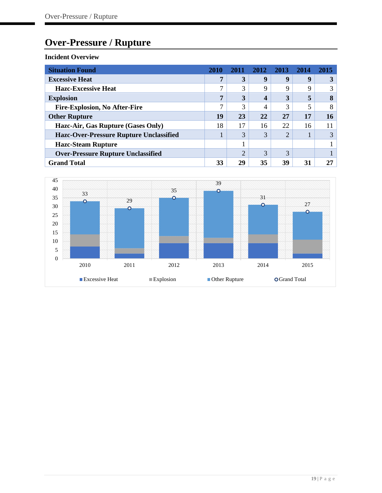# <span id="page-21-0"></span>**Over-Pressure / Rupture**

<span id="page-21-1"></span>

| <b>Situation Found</b>                         | 2010 | 2011           | 2012 | 2013 | 2014 | 2015   |
|------------------------------------------------|------|----------------|------|------|------|--------|
| <b>Excessive Heat</b>                          | 7    | 3              | 9    | 9    | q    |        |
| <b>Hazc-Excessive Heat</b>                     |      | 3              | 9    | 9    | Q    | 3      |
| <b>Explosion</b>                               | Η,   | 3              | 4    | 3    | 5    | Q<br>o |
| <b>Fire-Explosion, No After-Fire</b>           |      | 3              | 4    | 3    |      | 8      |
| <b>Other Rupture</b>                           | 19   | 23             | 22   | 27   | 17   | 16     |
| Hazc-Air, Gas Rupture (Gases Only)             | 18   | 17             | 16   | 22   | 16   | 11     |
| <b>Hazc-Over-Pressure Rupture Unclassified</b> |      | 3              | 3    | ↑    |      | 3      |
| <b>Hazc-Steam Rupture</b>                      |      |                |      |      |      |        |
| <b>Over-Pressure Rupture Unclassified</b>      |      | $\overline{2}$ | 3    | 3    |      |        |
| <b>Grand Total</b>                             | 33   | 29             | 35   | 39   | 31   | 27     |

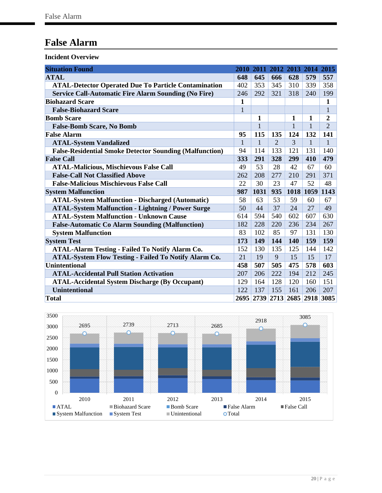# <span id="page-22-0"></span>**False Alarm**

<span id="page-22-1"></span>

| <b>Situation Found</b>                                         |              | 2010 2011    |                             |              | 2012 2013 2014 2015           |                |
|----------------------------------------------------------------|--------------|--------------|-----------------------------|--------------|-------------------------------|----------------|
| <b>ATAL</b>                                                    | 648          | 645          | 666                         | 628          | 579                           | 557            |
| <b>ATAL-Detector Operated Due To Particle Contamination</b>    | 402          | 353          | 345                         | 310          | 339                           | 358            |
| <b>Service Call-Automatic Fire Alarm Sounding (No Fire)</b>    | 246          | 292          | 321                         | 318          | 240                           | 199            |
| <b>Biohazard Scare</b>                                         | 1            |              |                             |              |                               | 1              |
| <b>False-Biohazard Scare</b>                                   | $\mathbf{1}$ |              |                             |              |                               | $\mathbf{1}$   |
| <b>Bomb Scare</b>                                              |              | 1            |                             | 1            | 1                             | 2              |
| <b>False-Bomb Scare, No Bomb</b>                               |              | $\mathbf{1}$ |                             | $\mathbf{1}$ | $\mathbf{1}$                  | $\overline{2}$ |
| <b>False Alarm</b>                                             | 95           | 115          | 135                         | 124          | 132                           | 141            |
| <b>ATAL-System Vandalized</b>                                  | $\mathbf{1}$ | $\mathbf{1}$ | $\mathcal{D}_{\mathcal{A}}$ | 3            | 1                             | $\mathbf{1}$   |
| <b>False-Residential Smoke Detector Sounding (Malfunction)</b> | 94           | 114          | 133                         | 121          | 131                           | 140            |
| <b>False Call</b>                                              | 333          | 291          | 328                         | 299          | 410                           | 479            |
| <b>ATAL-Malicious, Mischievous False Call</b>                  | 49           | 53           | 28                          | 42           | 67                            | 60             |
| <b>False-Call Not Classified Above</b>                         | 262          | 208          | 277                         | 210          | 291                           | 371            |
| <b>False-Malicious Mischievous False Call</b>                  | 22           | 30           | 23                          | 47           | 52                            | 48             |
| <b>System Malfunction</b>                                      | 987          | 1031         | 935                         |              | 1018 1059                     | 1143           |
| <b>ATAL-System Malfunction - Discharged (Automatic)</b>        | 58           | 63           | 53                          | 59           | 60                            | 67             |
| <b>ATAL-System Malfunction - Lightning / Power Surge</b>       | 50           | 44           | 37                          | 24           | 27                            | 49             |
| <b>ATAL-System Malfunction - Unknown Cause</b>                 | 614          | 594          | 540                         | 602          | 607                           | 630            |
| <b>False-Automatic Co Alarm Sounding (Malfunction)</b>         | 182          | 228          | 220                         | 236          | 234                           | 267            |
| <b>System Malfunction</b>                                      | 83           | 102          | 85                          | 97           | 131                           | 130            |
| <b>System Test</b>                                             | 173          | <b>149</b>   | 144                         | 140          | 159                           | 159            |
| <b>ATAL-Alarm Testing - Failed To Notify Alarm Co.</b>         | 152          | 130          | 135                         | 125          | 144                           | 142            |
| <b>ATAL-System Flow Testing - Failed To Notify Alarm Co.</b>   | 21           | 19           | 9                           | 15           | 15                            | 17             |
| Unintentional                                                  | 458          | 507          | 505                         | 475          | 578                           | 603            |
| <b>ATAL-Accidental Pull Station Activation</b>                 | 207          | 206          | 222                         | 194          | 212                           | 245            |
| <b>ATAL-Accidental System Discharge (By Occupant)</b>          | 129          | 164          | 128                         | 120          | 160                           | 151            |
| <b>Unintentional</b>                                           | 122          | 137          | 155                         | 161          | 206                           | 207            |
| Total                                                          |              |              |                             |              | 2695 2739 2713 2685 2918 3085 |                |

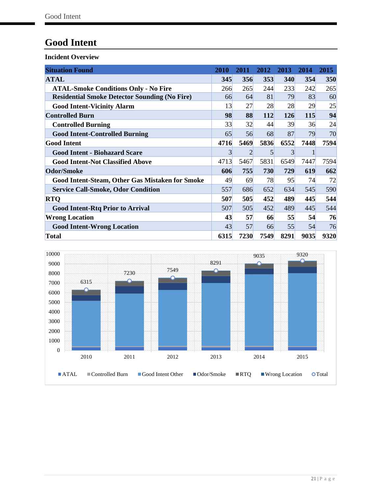# <span id="page-23-0"></span>**Good Intent**

<span id="page-23-1"></span>

| <b>Situation Found</b>                                 | 2010 | 2011           | 2012 | 2013 | 2014 | 2015 |
|--------------------------------------------------------|------|----------------|------|------|------|------|
| <b>ATAL</b>                                            | 345  | 356            | 353  | 340  | 354  | 350  |
| <b>ATAL-Smoke Conditions Only - No Fire</b>            | 266  | 265            | 244  | 233  | 242  | 265  |
| <b>Residential Smoke Detector Sounding (No Fire)</b>   | 66   | 64             | 81   | 79   | 83   | 60   |
| <b>Good Intent-Vicinity Alarm</b>                      | 13   | 27             | 28   | 28   | 29   | 25   |
| <b>Controlled Burn</b>                                 | 98   | 88             | 112  | 126  | 115  | 94   |
| <b>Controlled Burning</b>                              | 33   | 32             | 44   | 39   | 36   | 24   |
| <b>Good Intent-Controlled Burning</b>                  | 65   | 56             | 68   | 87   | 79   | 70   |
| <b>Good Intent</b>                                     | 4716 | 5469           | 5836 | 6552 | 7448 | 7594 |
| <b>Good Intent - Biohazard Scare</b>                   | 3    | $\overline{2}$ | 5    | 3    |      |      |
| <b>Good Intent-Not Classified Above</b>                | 4713 | 5467           | 5831 | 6549 | 7447 | 7594 |
| <b>Odor/Smoke</b>                                      | 606  | 755            | 730  | 729  | 619  | 662  |
| <b>Good Intent-Steam, Other Gas Mistaken for Smoke</b> | 49   | 69             | 78   | 95   | 74   | 72   |
| <b>Service Call-Smoke, Odor Condition</b>              | 557  | 686            | 652  | 634  | 545  | 590  |
| <b>RTQ</b>                                             | 507  | 505            | 452  | 489  | 445  | 544  |
| <b>Good Intent-Rtq Prior to Arrival</b>                | 507  | 505            | 452  | 489  | 445  | 544  |
| <b>Wrong Location</b>                                  | 43   | 57             | 66   | 55   | 54   | 76   |
| <b>Good Intent-Wrong Location</b>                      | 43   | 57             | 66   | 55   | 54   | 76   |
| <b>Total</b>                                           | 6315 | 7230           | 7549 | 8291 | 9035 | 9320 |

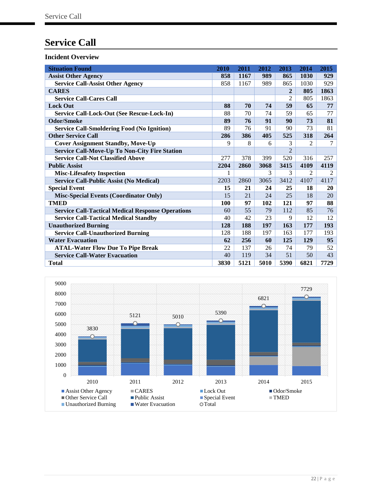# <span id="page-24-0"></span>**Service Call**

<span id="page-24-1"></span>

| <b>Situation Found</b>                                   | 2010       | 2011 | 2012 | 2013           | 2014 | 2015 |
|----------------------------------------------------------|------------|------|------|----------------|------|------|
| <b>Assist Other Agency</b>                               | 858        | 1167 | 989  | 865            | 1030 | 929  |
| <b>Service Call-Assist Other Agency</b>                  | 858        | 1167 | 989  | 865            | 1030 | 929  |
| <b>CARES</b>                                             |            |      |      | $\overline{2}$ | 805  | 1863 |
| <b>Service Call-Cares Call</b>                           |            |      |      | $\overline{c}$ | 805  | 1863 |
| <b>Lock Out</b>                                          | 88         | 70   | 74   | 59             | 65   | 77   |
| Service Call-Lock-Out (See Rescue-Lock-In)               | 88         | 70   | 74   | 59             | 65   | 77   |
| <b>Odor/Smoke</b>                                        | 89         | 76   | 91   | 90             | 73   | 81   |
| <b>Service Call-Smoldering Food (No Ignition)</b>        | 89         | 76   | 91   | 90             | 73   | 81   |
| <b>Other Service Call</b>                                | 286        | 386  | 405  | 525            | 318  | 264  |
| <b>Cover Assignment Standby, Move-Up</b>                 | 9          | 8    | 6    | 3              | 2    | 7    |
| <b>Service Call-Move-Up To Non-City Fire Station</b>     |            |      |      | $\overline{2}$ |      |      |
| <b>Service Call-Not Classified Above</b>                 | 277        | 378  | 399  | 520            | 316  | 257  |
| <b>Public Assist</b>                                     | 2204       | 2860 | 3068 | 3415           | 4109 | 4119 |
| <b>Misc-Lifesafety Inspection</b>                        |            |      | 3    | 3              | 2    | 2    |
| <b>Service Call-Public Assist (No Medical)</b>           | 2203       | 2860 | 3065 | 3412           | 4107 | 4117 |
| <b>Special Event</b>                                     | 15         | 21   | 24   | 25             | 18   | 20   |
| <b>Misc-Special Events (Coordinator Only)</b>            | 15         | 21   | 24   | 25             | 18   | 20   |
| <b>TMED</b>                                              | <b>100</b> | 97   | 102  | 121            | 97   | 88   |
| <b>Service Call-Tactical Medical Response Operations</b> | 60         | 55   | 79   | 112            | 85   | 76   |
| <b>Service Call-Tactical Medical Standby</b>             | 40         | 42   | 23   | 9              | 12   | 12   |
| <b>Unauthorized Burning</b>                              | 128        | 188  | 197  | 163            | 177  | 193  |
| <b>Service Call-Unauthorized Burning</b>                 | 128        | 188  | 197  | 163            | 177  | 193  |
| <b>Water Evacuation</b>                                  | 62         | 256  | 60   | 125            | 129  | 95   |
| <b>ATAL-Water Flow Due To Pipe Break</b>                 | 22         | 137  | 26   | 74             | 79   | 52   |
| <b>Service Call-Water Evacuation</b>                     | 40         | 119  | 34   | 51             | 50   | 43   |
| <b>Total</b>                                             | 3830       | 5121 | 5010 | 5390           | 6821 | 7729 |

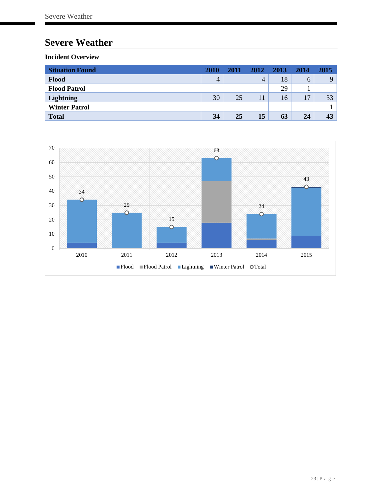# <span id="page-25-0"></span>**Severe Weather**

<span id="page-25-1"></span>

| <b>Situation Found</b> | <b>2010</b> | 2011 | 2012 | 2013 | 2014 | 2015     |
|------------------------|-------------|------|------|------|------|----------|
| Flood                  | 4           |      | 4    | 18   | 6    | $\Omega$ |
| <b>Flood Patrol</b>    |             |      |      | 29   |      |          |
| Lightning              | 30          | 25   | 11   | 16   | 17   | 33       |
| <b>Winter Patrol</b>   |             |      |      |      |      |          |
| <b>Total</b>           | 34          | 25   | 15   | 63   | 24   | 43       |

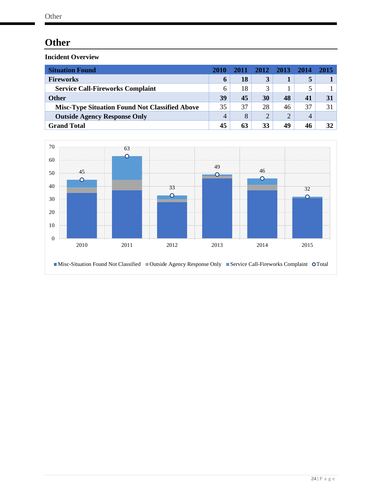# <span id="page-26-0"></span>**Other**

<span id="page-26-1"></span>

| <b>Situation Found</b>                                | 2010         | 2011 | 2012 | 2013           | - 2014 | 2015 |
|-------------------------------------------------------|--------------|------|------|----------------|--------|------|
| <b>Fireworks</b>                                      | $\mathbf b$  | 18   | 3    |                |        |      |
| <b>Service Call-Fireworks Complaint</b>               | <sub>6</sub> | 18   |      |                |        |      |
| <b>Other</b>                                          | 39           | 45   | 30   | 48             |        | 31   |
| <b>Misc-Type Situation Found Not Classified Above</b> | 35           | 37   | 28   | 46             | 37     | 31   |
| <b>Outside Agency Response Only</b>                   | 4            | 8    |      | $\overline{2}$ | 4      |      |
| <b>Grand Total</b>                                    | 45           | 63   | 33   | 49             | 46     | 32   |

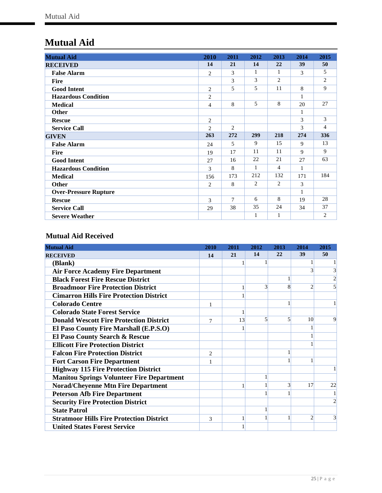# <span id="page-27-0"></span>**Mutual Aid**

| <b>Mutual Aid</b>            | 2010           | 2011   | 2012 | 2013           | 2014         | 2015           |
|------------------------------|----------------|--------|------|----------------|--------------|----------------|
| <b>RECEIVED</b>              | 14             | 21     | 14   | 22             | 39           | 50             |
| <b>False Alarm</b>           | 2              | 3      | 1    | $\mathbf{1}$   | 3            | 5              |
| <b>Fire</b>                  |                | 3      | 3    | $\overline{2}$ |              | 2              |
| <b>Good Intent</b>           | 2              | 5      | 5    | 11             | 8            | 9              |
| <b>Hazardous Condition</b>   | $\overline{2}$ |        |      |                | 1            |                |
| <b>Medical</b>               | 4              | 8      | 5    | 8              | 20           | 27             |
| <b>Other</b>                 |                |        |      |                | 1            |                |
| <b>Rescue</b>                | 2              |        |      |                | 3            | 3              |
| <b>Service Call</b>          | 2              | 2      |      |                | 3            | 4              |
| <b>GIVEN</b>                 | 263            | 272    | 299  | 218            | 274          | 336            |
| <b>False Alarm</b>           | 24             | 5      | 9    | 15             | $\mathbf{Q}$ | 13             |
| <b>Fire</b>                  | 19             | 17     | 11   | 11             | 9            | 9              |
| <b>Good Intent</b>           | 27             | 16     | 22   | 21             | 27           | 63             |
| <b>Hazardous Condition</b>   | 3              | 8      | 1    | 4              | $\mathbf{1}$ |                |
| <b>Medical</b>               | 156            | 173    | 212  | 132            | 171          | 184            |
| <b>Other</b>                 | 2              | 8      | 2    | 2              | 3            |                |
| <b>Over-Pressure Rupture</b> |                |        |      |                | 1            |                |
| <b>Rescue</b>                | 3              | $\tau$ | 6    | 8              | 19           | 28             |
| <b>Service Call</b>          | 29             | 38     | 35   | 24             | 34           | 37             |
| <b>Severe Weather</b>        |                |        | 1    |                |              | $\overline{c}$ |

### <span id="page-27-1"></span>**Mutual Aid Received**

| <b>Mutual Aid</b>                                | 2010           | 2011 | 2012          | 2013 | 2014            | 2015           |
|--------------------------------------------------|----------------|------|---------------|------|-----------------|----------------|
| <b>RECEIVED</b>                                  | 14             | 21   | 14            | 22   | 39              | 50             |
| (Blank)                                          |                |      |               |      |                 |                |
| <b>Air Force Academy Fire Department</b>         |                |      |               |      | 3               | 3              |
| <b>Black Forest Fire Rescue District</b>         |                |      |               |      |                 | $\overline{c}$ |
| <b>Broadmoor Fire Protection District</b>        |                |      | $\mathcal{R}$ | 8    | $\overline{c}$  |                |
| <b>Cimarron Hills Fire Protection District</b>   |                |      |               |      |                 |                |
| <b>Colorado Centre</b>                           | 1              |      |               |      |                 |                |
| <b>Colorado State Forest Service</b>             |                |      |               |      |                 |                |
| <b>Donald Wescott Fire Protection District</b>   | 7              | 13   | 5             | 5    | 10 <sup>1</sup> | 9              |
| El Paso County Fire Marshall (E.P.S.O)           |                |      |               |      |                 |                |
| El Paso County Search & Rescue                   |                |      |               |      |                 |                |
| <b>Ellicott Fire Protection District</b>         |                |      |               |      |                 |                |
| <b>Falcon Fire Protection District</b>           | $\overline{c}$ |      |               |      |                 |                |
| <b>Fort Carson Fire Department</b>               |                |      |               |      |                 |                |
| <b>Highway 115 Fire Protection District</b>      |                |      |               |      |                 |                |
| <b>Manitou Springs Volunteer Fire Department</b> |                |      |               |      |                 |                |
| <b>Norad/Cheyenne Mtn Fire Department</b>        |                |      |               | 3    | 17              | 22             |
| <b>Peterson Afb Fire Department</b>              |                |      |               |      |                 |                |
| <b>Security Fire Protection District</b>         |                |      |               |      |                 | $\mathfrak{D}$ |
| <b>State Patrol</b>                              |                |      |               |      |                 |                |
| <b>Stratmoor Hills Fire Protection District</b>  | 3              |      |               |      | $\overline{2}$  |                |
| <b>United States Forest Service</b>              |                |      |               |      |                 |                |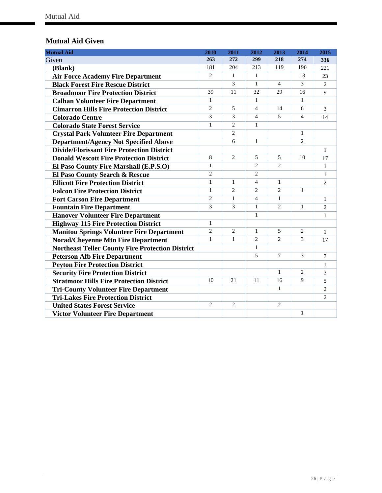### <span id="page-28-0"></span>**Mutual Aid Given**

| <b>Mutual Aid</b>                                       | 2010           | 2011           | 2012           | 2013           | 2014           | 2015           |
|---------------------------------------------------------|----------------|----------------|----------------|----------------|----------------|----------------|
| Given                                                   | 263            | 272            | 299            | 218            | 274            | 336            |
| (Blank)                                                 | 181            | 204            | 213            | 119            | 196            | 221            |
| <b>Air Force Academy Fire Department</b>                | $\overline{2}$ | $\mathbf{1}$   | $\mathbf{1}$   |                | 13             | 23             |
| <b>Black Forest Fire Rescue District</b>                |                | $\overline{3}$ | $\mathbf{1}$   | $\overline{4}$ | 3              | $\overline{2}$ |
| <b>Broadmoor Fire Protection District</b>               | 39             | 11             | 32             | 29             | 16             | $\mathbf Q$    |
| <b>Calhan Volunteer Fire Department</b>                 | $\mathbf{1}$   |                | $\mathbf{1}$   |                | $\mathbf{1}$   |                |
| <b>Cimarron Hills Fire Protection District</b>          | $\overline{2}$ | $\overline{5}$ | $\overline{4}$ | 14             | 6              | 3              |
| <b>Colorado Centre</b>                                  | 3              | 3              | $\overline{4}$ | 5              | 4              | 14             |
| <b>Colorado State Forest Service</b>                    | $\mathbf{1}$   | $\overline{2}$ | $\mathbf{1}$   |                |                |                |
| <b>Crystal Park Volunteer Fire Department</b>           |                | $\overline{2}$ |                |                | $\mathbf{1}$   |                |
| <b>Department/Agency Not Specified Above</b>            |                | 6              | $\mathbf{1}$   |                | $\overline{c}$ |                |
| <b>Divide/Florissant Fire Protection District</b>       |                |                |                |                |                | $\mathbf{1}$   |
| <b>Donald Wescott Fire Protection District</b>          | 8              | $\overline{2}$ | 5              | 5              | 10             | 17             |
| El Paso County Fire Marshall (E.P.S.O)                  | $\mathbf{1}$   |                | $\overline{2}$ | $\overline{c}$ |                | 1              |
| El Paso County Search & Rescue                          | $\overline{2}$ |                | $\overline{2}$ |                |                | 1              |
| <b>Ellicott Fire Protection District</b>                | $\mathbf{1}$   | $\mathbf{1}$   | $\overline{4}$ | 1              |                | 2              |
| <b>Falcon Fire Protection District</b>                  | $\mathbf{1}$   | 2              | $\overline{c}$ | $\overline{c}$ | $\mathbf{1}$   |                |
| <b>Fort Carson Fire Department</b>                      | $\overline{2}$ | $\mathbf{1}$   | $\overline{4}$ | 1              |                | $\mathbf{1}$   |
| <b>Fountain Fire Department</b>                         | 3              | 3              | $\mathbf{1}$   | $\overline{2}$ | $\mathbf{1}$   | 2              |
| <b>Hanover Volunteer Fire Department</b>                |                |                | $\mathbf{1}$   |                |                | $\mathbf{1}$   |
| <b>Highway 115 Fire Protection District</b>             | $\mathbf{1}$   |                |                |                |                |                |
| <b>Manitou Springs Volunteer Fire Department</b>        | $\overline{2}$ | $\overline{2}$ | $\mathbf{1}$   | 5              | $\overline{2}$ | $\mathbf{1}$   |
| <b>Norad/Cheyenne Mtn Fire Department</b>               | $\mathbf{1}$   | $\mathbf{1}$   | $\overline{2}$ | $\overline{2}$ | 3              | 17             |
| <b>Northeast Teller County Fire Protection District</b> |                |                | $\mathbf{1}$   |                |                |                |
| <b>Peterson Afb Fire Department</b>                     |                |                | 5              | $\overline{7}$ | 3              | $\tau$         |
| <b>Peyton Fire Protection District</b>                  |                |                |                |                |                | $\mathbf{1}$   |
| <b>Security Fire Protection District</b>                |                |                |                | 1              | $\mathfrak{2}$ | $\mathfrak{Z}$ |
| <b>Stratmoor Hills Fire Protection District</b>         | 10             | 21             | 11             | 16             | 9              | 5              |
| <b>Tri-County Volunteer Fire Department</b>             |                |                |                | $\mathbf{1}$   |                | $\overline{2}$ |
| <b>Tri-Lakes Fire Protection District</b>               |                |                |                |                |                | $\overline{2}$ |
| <b>United States Forest Service</b>                     | $\overline{2}$ | $\overline{2}$ |                | $\mathfrak{2}$ |                |                |
| <b>Victor Volunteer Fire Department</b>                 |                |                |                |                | $\mathbf{1}$   |                |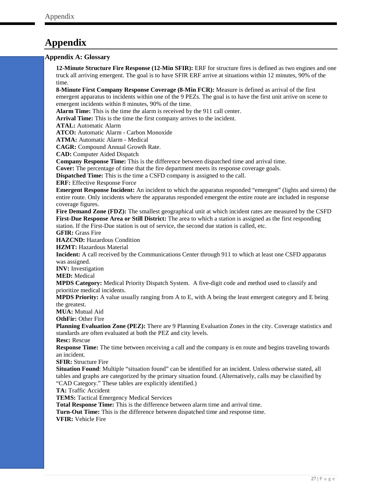# <span id="page-29-0"></span>**Appendix**

#### <span id="page-29-1"></span>**Appendix A: Glossary**

**12-Minute Structure Fire Response (12-Min SFIR):** ERF for structure fires is defined as two engines and one truck all arriving emergent. The goal is to have SFIR ERF arrive at situations within 12 minutes, 90% of the time.

**8-Minute First Company Response Coverage (8-Min FCR):** Measure is defined as arrival of the first emergent apparatus to incidents within one of the 9 PEZs. The goal is to have the first unit arrive on scene to emergent incidents within 8 minutes, 90% of the time.

**Alarm Time:** This is the time the alarm is received by the 911 call center.

**Arrival Time:** This is the time the first company arrives to the incident.

**ATAL:** Automatic Alarm

**ATCO:** Automatic Alarm - Carbon Monoxide

**ATMA:** Automatic Alarm - Medical

**CAGR:** Compound Annual Growth Rate.

**CAD:** Computer Aided Dispatch

**Company Response Time:** This is the difference between dispatched time and arrival time.

**Cover:** The percentage of time that the fire department meets its response coverage goals.

**Dispatched Time:** This is the time a CSFD company is assigned to the call.

**ERF:** Effective Response Force

**Emergent Response Incident:** An incident to which the apparatus responded "emergent" (lights and sirens) the entire route. Only incidents where the apparatus responded emergent the entire route are included in response coverage figures.

**Fire Demand Zone (FDZ):** The smallest geographical unit at which incident rates are measured by the CSFD **First-Due Response Area or Still District:** The area to which a station is assigned as the first responding station. If the First-Due station is out of service, the second due station is called, etc.

**GFIR:** Grass Fire

**HAZCND:** Hazardous Condition

**HZMT:** Hazardous Material

**Incident:** A call received by the Communications Center through 911 to which at least one CSFD apparatus was assigned.

**INV:** Investigation

**MED:** Medical

**MPDS Category:** Medical Priority Dispatch System. A five-digit code and method used to classify and prioritize medical incidents.

**MPDS Priority:** A value usually ranging from A to E, with A being the least emergent category and E being the greatest.

**MUA:** Mutual Aid

**OthFir:** Other Fire

**Planning Evaluation Zone (PEZ):** There are 9 Planning Evaluation Zones in the city. Coverage statistics and standards are often evaluated at both the PEZ and city levels.

**Resc:** Rescue

**Response Time:** The time between receiving a call and the company is en route and begins traveling towards an incident.

**SFIR:** Structure Fire

**Situation Found**: Multiple "situation found" can be identified for an incident. Unless otherwise stated, all tables and graphs are categorized by the primary situation found. (Alternatively, calls may be classified by "CAD Category." These tables are explicitly identified.)

**TA:** Traffic Accident

**TEMS:** Tactical Emergency Medical Services

**Total Response Time:** This is the difference between alarm time and arrival time.

**Turn-Out Time:** This is the difference between dispatched time and response time.

**VFIR:** Vehicle Fire